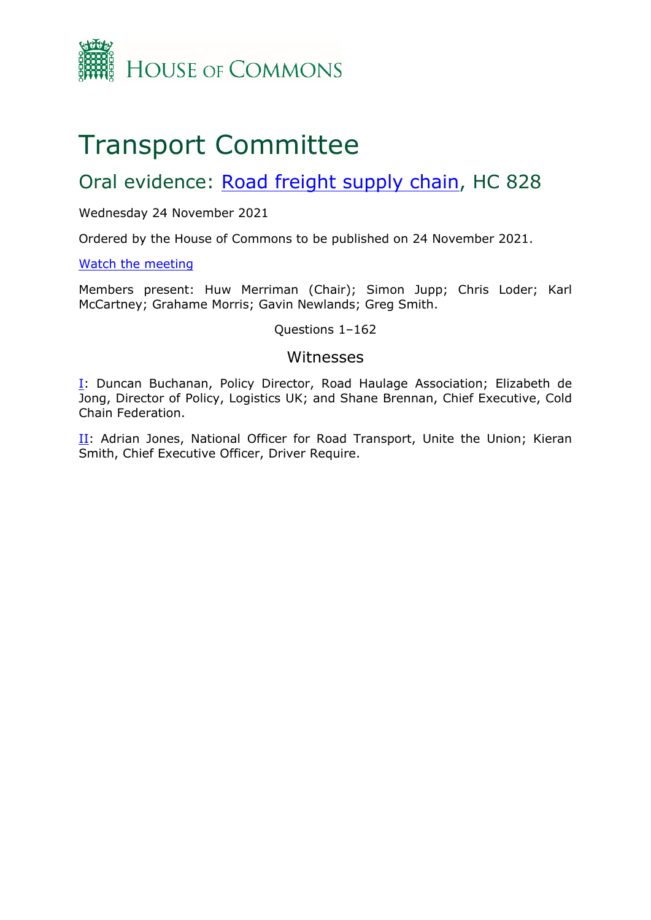

# Transport Committee

# Oral evidence: [Road](https://committees.parliament.uk/work/1587/road-freight-supply-chain/) [freight](https://committees.parliament.uk/work/1587/road-freight-supply-chain/) [supply](https://committees.parliament.uk/work/1587/road-freight-supply-chain/) [chain](https://committees.parliament.uk/work/1587/road-freight-supply-chain/), HC 828

# Wednesday 24 November 2021

Ordered by the House of Commons to be published on 24 November 2021.

# [Watch](https://www.parliamentlive.tv/Event/Index/292b60b5-e5ee-44f0-b340-b0b8cc2903d1) [the](https://www.parliamentlive.tv/Event/Index/292b60b5-e5ee-44f0-b340-b0b8cc2903d1) [meeting](https://www.parliamentlive.tv/Event/Index/292b60b5-e5ee-44f0-b340-b0b8cc2903d1)

Members present: Huw Merriman (Chair); Simon Jupp; Chris Loder; Karl McCartney; Grahame Morris; Gavin Newlands; Greg Smith.

# Questions 1–162

# Witnesses

[I:](#page-1-0) Duncan Buchanan, Policy Director, Road Haulage Association; Elizabeth de Jong, Director of Policy, Logistics UK; and Shane Brennan, Chief Executive, Cold Chain Federation.

[II](#page-28-0): Adrian Jones, National Officer for Road Transport, Unite the Union; Kieran Smith, Chief Executive Officer, Driver Require.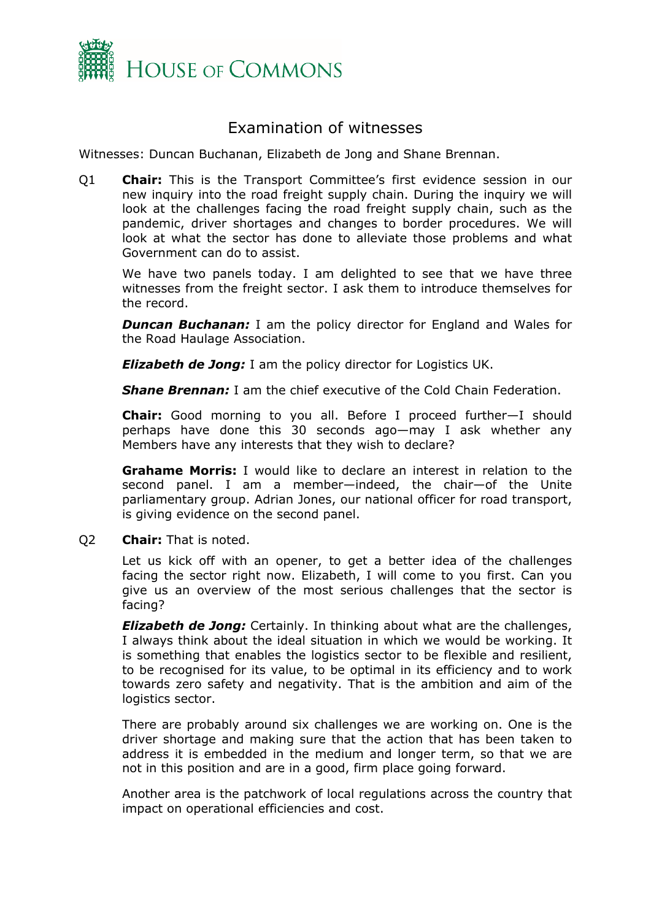

# <span id="page-1-0"></span>Examination of witnesses

Witnesses: Duncan Buchanan, Elizabeth de Jong and Shane Brennan.

Q1 **Chair:** This is the Transport Committee's first evidence session in our new inquiry into the road freight supply chain. During the inquiry we will look at the challenges facing the road freight supply chain, such as the pandemic, driver shortages and changes to border procedures. We will look at what the sector has done to alleviate those problems and what Government can do to assist.

We have two panels today. I am delighted to see that we have three witnesses from the freight sector. I ask them to introduce themselves for the record.

**Duncan Buchanan:** I am the policy director for England and Wales for the Road Haulage Association.

*Elizabeth de Jong:* I am the policy director for Logistics UK.

*Shane Brennan:* I am the chief executive of the Cold Chain Federation.

**Chair:** Good morning to you all. Before I proceed further—I should perhaps have done this 30 seconds ago—may I ask whether any Members have any interests that they wish to declare?

**Grahame Morris:** I would like to declare an interest in relation to the second panel. I am a member—indeed, the chair—of the Unite parliamentary group. Adrian Jones, our national officer for road transport, is giving evidence on the second panel.

Q2 **Chair:** That is noted.

Let us kick off with an opener, to get a better idea of the challenges facing the sector right now. Elizabeth, I will come to you first. Can you give us an overview of the most serious challenges that the sector is facing?

*Elizabeth de Jong:* Certainly. In thinking about what are the challenges, I always think about the ideal situation in which we would be working. It is something that enables the logistics sector to be flexible and resilient, to be recognised for its value, to be optimal in its efficiency and to work towards zero safety and negativity. That is the ambition and aim of the logistics sector.

There are probably around six challenges we are working on. One is the driver shortage and making sure that the action that has been taken to address it is embedded in the medium and longer term, so that we are not in this position and are in a good, firm place going forward.

Another area is the patchwork of local regulations across the country that impact on operational efficiencies and cost.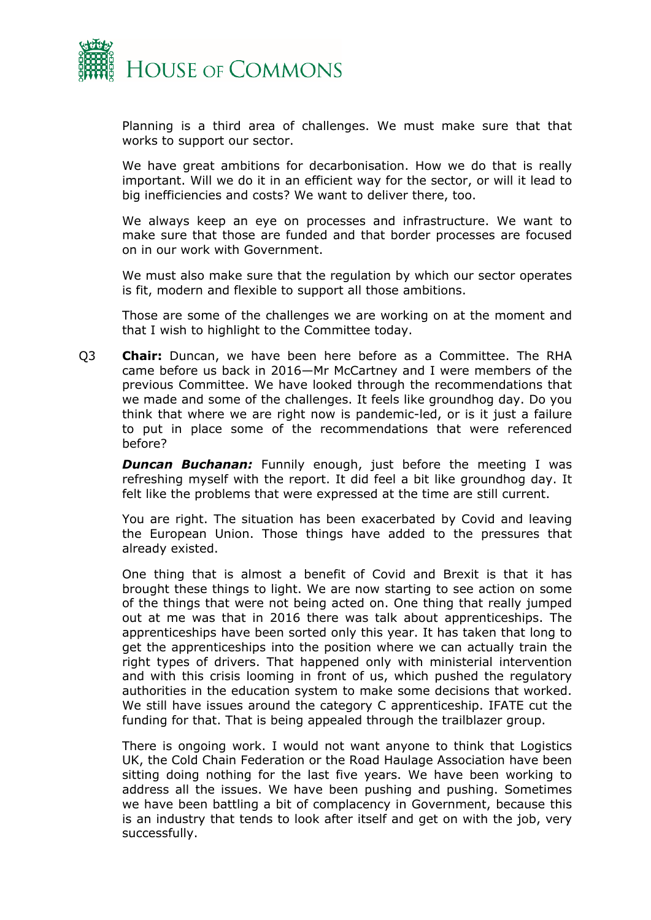

Planning is a third area of challenges. We must make sure that that works to support our sector.

We have great ambitions for decarbonisation. How we do that is really important. Will we do it in an efficient way for the sector, or will it lead to big inefficiencies and costs? We want to deliver there, too.

We always keep an eye on processes and infrastructure. We want to make sure that those are funded and that border processes are focused on in our work with Government.

We must also make sure that the regulation by which our sector operates is fit, modern and flexible to support all those ambitions.

Those are some of the challenges we are working on at the moment and that I wish to highlight to the Committee today.

Q3 **Chair:** Duncan, we have been here before as a Committee. The RHA came before us back in 2016—Mr McCartney and I were members of the previous Committee. We have looked through the recommendations that we made and some of the challenges. It feels like groundhog day. Do you think that where we are right now is pandemic-led, or is it just a failure to put in place some of the recommendations that were referenced before?

**Duncan Buchanan:** Funnily enough, just before the meeting I was refreshing myself with the report. It did feel a bit like groundhog day. It felt like the problems that were expressed at the time are still current.

You are right. The situation has been exacerbated by Covid and leaving the European Union. Those things have added to the pressures that already existed.

One thing that is almost a benefit of Covid and Brexit is that it has brought these things to light. We are now starting to see action on some of the things that were not being acted on. One thing that really jumped out at me was that in 2016 there was talk about apprenticeships. The apprenticeships have been sorted only this year. It has taken that long to get the apprenticeships into the position where we can actually train the right types of drivers. That happened only with ministerial intervention and with this crisis looming in front of us, which pushed the regulatory authorities in the education system to make some decisions that worked. We still have issues around the category C apprenticeship. IFATE cut the funding for that. That is being appealed through the trailblazer group.

There is ongoing work. I would not want anyone to think that Logistics UK, the Cold Chain Federation or the Road Haulage Association have been sitting doing nothing for the last five years. We have been working to address all the issues. We have been pushing and pushing. Sometimes we have been battling a bit of complacency in Government, because this is an industry that tends to look after itself and get on with the job, very successfully.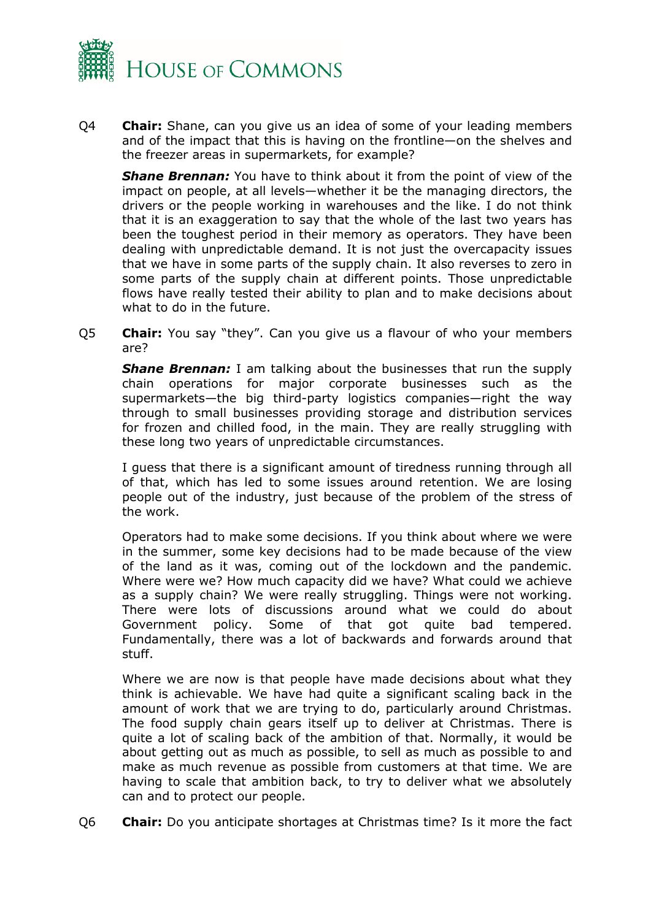

Q4 **Chair:** Shane, can you give us an idea of some of your leading members and of the impact that this is having on the frontline—on the shelves and the freezer areas in supermarkets, for example?

*Shane Brennan:* You have to think about it from the point of view of the impact on people, at all levels—whether it be the managing directors, the drivers or the people working in warehouses and the like. I do not think that it is an exaggeration to say that the whole of the last two years has been the toughest period in their memory as operators. They have been dealing with unpredictable demand. It is not just the overcapacity issues that we have in some parts of the supply chain. It also reverses to zero in some parts of the supply chain at different points. Those unpredictable flows have really tested their ability to plan and to make decisions about what to do in the future.

Q5 **Chair:** You say "they". Can you give us a flavour of who your members are?

*Shane Brennan:* I am talking about the businesses that run the supply chain operations for major corporate businesses such as the supermarkets—the big third-party logistics companies—right the way through to small businesses providing storage and distribution services for frozen and chilled food, in the main. They are really struggling with these long two years of unpredictable circumstances.

I guess that there is a significant amount of tiredness running through all of that, which has led to some issues around retention. We are losing people out of the industry, just because of the problem of the stress of the work.

Operators had to make some decisions. If you think about where we were in the summer, some key decisions had to be made because of the view of the land as it was, coming out of the lockdown and the pandemic. Where were we? How much capacity did we have? What could we achieve as a supply chain? We were really struggling. Things were not working. There were lots of discussions around what we could do about Government policy. Some of that got quite bad tempered. Fundamentally, there was a lot of backwards and forwards around that stuff.

Where we are now is that people have made decisions about what they think is achievable. We have had quite a significant scaling back in the amount of work that we are trying to do, particularly around Christmas. The food supply chain gears itself up to deliver at Christmas. There is quite a lot of scaling back of the ambition of that. Normally, it would be about getting out as much as possible, to sell as much as possible to and make as much revenue as possible from customers at that time. We are having to scale that ambition back, to try to deliver what we absolutely can and to protect our people.

Q6 **Chair:** Do you anticipate shortages at Christmas time? Is it more the fact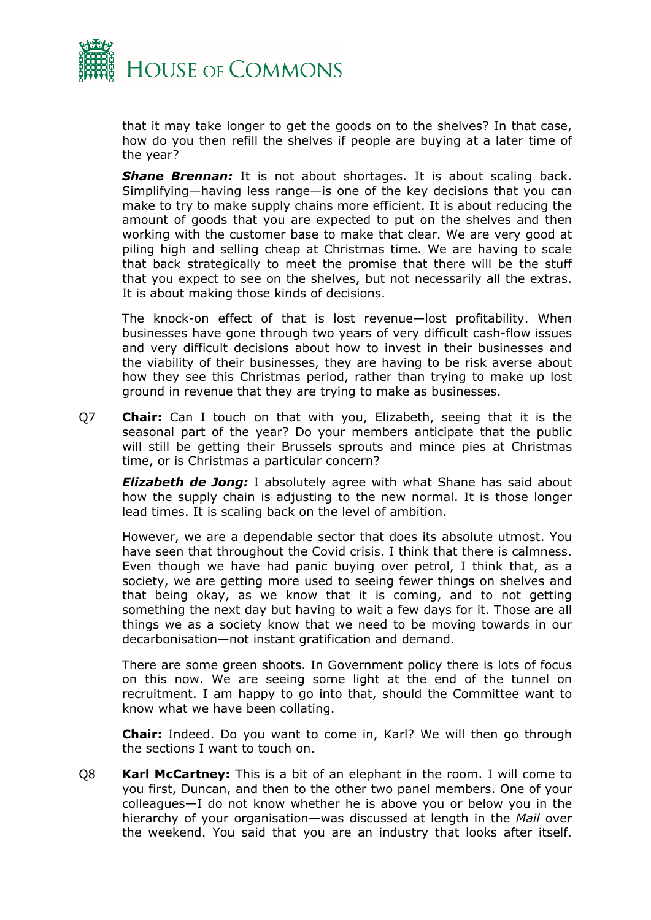

that it may take longer to get the goods on to the shelves? In that case, how do you then refill the shelves if people are buying at a later time of the year?

**Shane Brennan:** It is not about shortages. It is about scaling back. Simplifying—having less range—is one of the key decisions that you can make to try to make supply chains more efficient. It is about reducing the amount of goods that you are expected to put on the shelves and then working with the customer base to make that clear. We are very good at piling high and selling cheap at Christmas time. We are having to scale that back strategically to meet the promise that there will be the stuff that you expect to see on the shelves, but not necessarily all the extras. It is about making those kinds of decisions.

The knock-on effect of that is lost revenue—lost profitability. When businesses have gone through two years of very difficult cash-flow issues and very difficult decisions about how to invest in their businesses and the viability of their businesses, they are having to be risk averse about how they see this Christmas period, rather than trying to make up lost ground in revenue that they are trying to make as businesses.

Q7 **Chair:** Can I touch on that with you, Elizabeth, seeing that it is the seasonal part of the year? Do your members anticipate that the public will still be getting their Brussels sprouts and mince pies at Christmas time, or is Christmas a particular concern?

*Elizabeth de Jong:* I absolutely agree with what Shane has said about how the supply chain is adjusting to the new normal. It is those longer lead times. It is scaling back on the level of ambition.

However, we are a dependable sector that does its absolute utmost. You have seen that throughout the Covid crisis. I think that there is calmness. Even though we have had panic buying over petrol, I think that, as a society, we are getting more used to seeing fewer things on shelves and that being okay, as we know that it is coming, and to not getting something the next day but having to wait a few days for it. Those are all things we as a society know that we need to be moving towards in our decarbonisation—not instant gratification and demand.

There are some green shoots. In Government policy there is lots of focus on this now. We are seeing some light at the end of the tunnel on recruitment. I am happy to go into that, should the Committee want to know what we have been collating.

**Chair:** Indeed. Do you want to come in, Karl? We will then go through the sections I want to touch on.

Q8 **Karl McCartney:** This is a bit of an elephant in the room. I will come to you first, Duncan, and then to the other two panel members. One of your colleagues—I do not know whether he is above you or below you in the hierarchy of your organisation—was discussed at length in the *Mail* over the weekend. You said that you are an industry that looks after itself.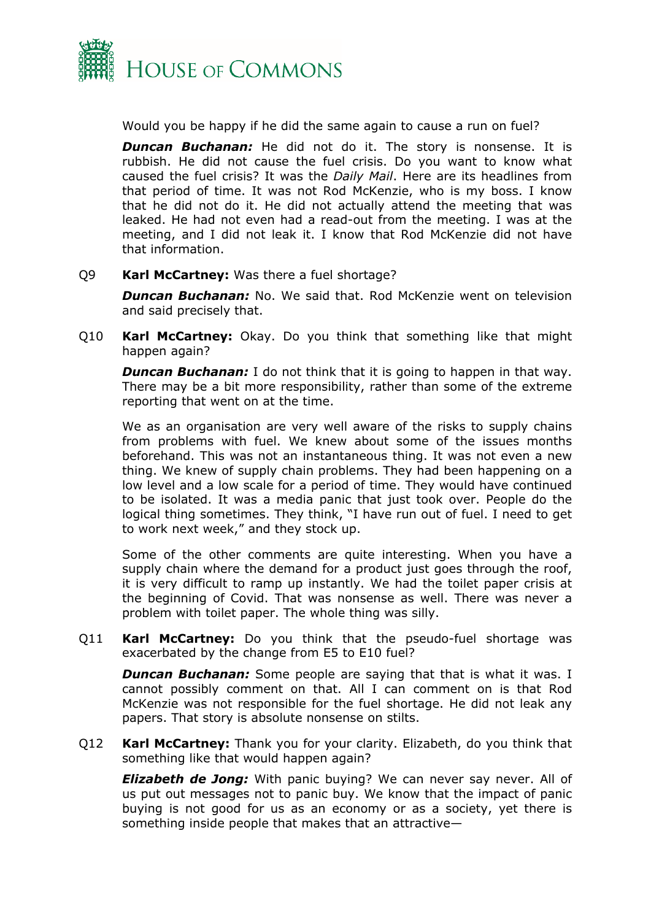

Would you be happy if he did the same again to cause a run on fuel?

**Duncan Buchanan:** He did not do it. The story is nonsense. It is rubbish. He did not cause the fuel crisis. Do you want to know what caused the fuel crisis? It was the *Daily Mail*. Here are its headlines from that period of time. It was not Rod McKenzie, who is my boss. I know that he did not do it. He did not actually attend the meeting that was leaked. He had not even had a read-out from the meeting. I was at the meeting, and I did not leak it. I know that Rod McKenzie did not have that information.

Q9 **Karl McCartney:** Was there a fuel shortage?

*Duncan Buchanan:* No. We said that. Rod McKenzie went on television and said precisely that.

Q10 **Karl McCartney:** Okay. Do you think that something like that might happen again?

*Duncan Buchanan:* I do not think that it is going to happen in that way. There may be a bit more responsibility, rather than some of the extreme reporting that went on at the time.

We as an organisation are very well aware of the risks to supply chains from problems with fuel. We knew about some of the issues months beforehand. This was not an instantaneous thing. It was not even a new thing. We knew of supply chain problems. They had been happening on a low level and a low scale for a period of time. They would have continued to be isolated. It was a media panic that just took over. People do the logical thing sometimes. They think, "I have run out of fuel. I need to get to work next week," and they stock up.

Some of the other comments are quite interesting. When you have a supply chain where the demand for a product just goes through the roof, it is very difficult to ramp up instantly. We had the toilet paper crisis at the beginning of Covid. That was nonsense as well. There was never a problem with toilet paper. The whole thing was silly.

Q11 **Karl McCartney:** Do you think that the pseudo-fuel shortage was exacerbated by the change from E5 to E10 fuel?

**Duncan Buchanan:** Some people are saying that that is what it was. I cannot possibly comment on that. All I can comment on is that Rod McKenzie was not responsible for the fuel shortage. He did not leak any papers. That story is absolute nonsense on stilts.

Q12 **Karl McCartney:** Thank you for your clarity. Elizabeth, do you think that something like that would happen again?

*Elizabeth de Jong:* With panic buying? We can never say never. All of us put out messages not to panic buy. We know that the impact of panic buying is not good for us as an economy or as a society, yet there is something inside people that makes that an attractive—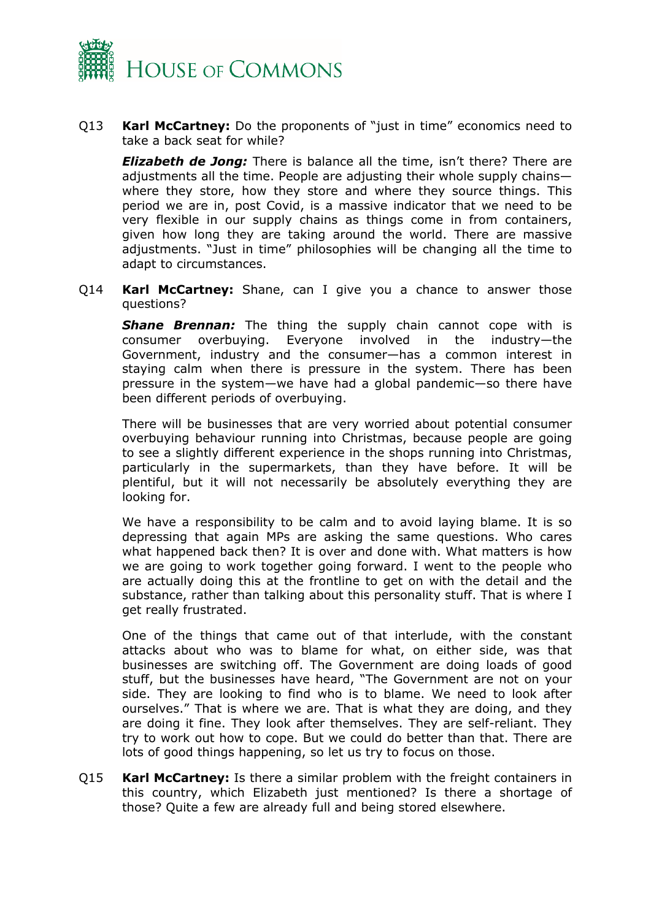

Q13 **Karl McCartney:** Do the proponents of "just in time" economics need to take a back seat for while?

*Elizabeth de Jong:* There is balance all the time, isn't there? There are adjustments all the time. People are adjusting their whole supply chains where they store, how they store and where they source things. This period we are in, post Covid, is a massive indicator that we need to be very flexible in our supply chains as things come in from containers, given how long they are taking around the world. There are massive adjustments. "Just in time" philosophies will be changing all the time to adapt to circumstances.

Q14 **Karl McCartney:** Shane, can I give you a chance to answer those questions?

**Shane Brennan:** The thing the supply chain cannot cope with is consumer overbuying. Everyone involved in the industry—the Government, industry and the consumer—has a common interest in staying calm when there is pressure in the system. There has been pressure in the system—we have had a global pandemic—so there have been different periods of overbuying.

There will be businesses that are very worried about potential consumer overbuying behaviour running into Christmas, because people are going to see a slightly different experience in the shops running into Christmas, particularly in the supermarkets, than they have before. It will be plentiful, but it will not necessarily be absolutely everything they are looking for.

We have a responsibility to be calm and to avoid laying blame. It is so depressing that again MPs are asking the same questions. Who cares what happened back then? It is over and done with. What matters is how we are going to work together going forward. I went to the people who are actually doing this at the frontline to get on with the detail and the substance, rather than talking about this personality stuff. That is where I get really frustrated.

One of the things that came out of that interlude, with the constant attacks about who was to blame for what, on either side, was that businesses are switching off. The Government are doing loads of good stuff, but the businesses have heard, "The Government are not on your side. They are looking to find who is to blame. We need to look after ourselves." That is where we are. That is what they are doing, and they are doing it fine. They look after themselves. They are self-reliant. They try to work out how to cope. But we could do better than that. There are lots of good things happening, so let us try to focus on those.

Q15 **Karl McCartney:** Is there a similar problem with the freight containers in this country, which Elizabeth just mentioned? Is there a shortage of those? Quite a few are already full and being stored elsewhere.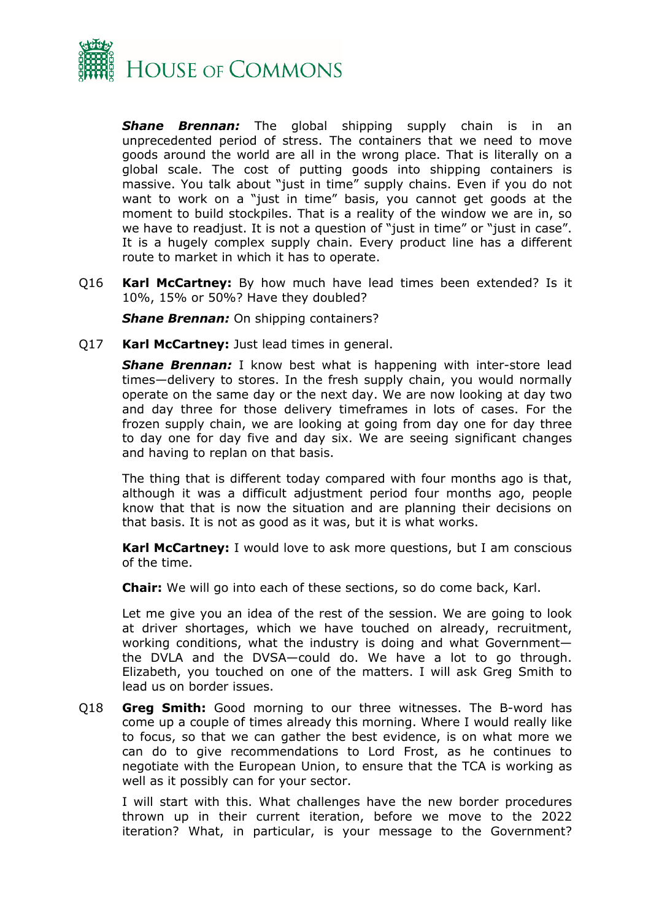

**Shane Brennan:** The global shipping supply chain is in an unprecedented period of stress. The containers that we need to move goods around the world are all in the wrong place. That is literally on a global scale. The cost of putting goods into shipping containers is massive. You talk about "just in time" supply chains. Even if you do not want to work on a "just in time" basis, you cannot get goods at the moment to build stockpiles. That is a reality of the window we are in, so we have to readjust. It is not a question of "just in time" or "just in case". It is a hugely complex supply chain. Every product line has a different route to market in which it has to operate.

Q16 **Karl McCartney:** By how much have lead times been extended? Is it 10%, 15% or 50%? Have they doubled?

*Shane Brennan:* On shipping containers?

Q17 **Karl McCartney:** Just lead times in general.

**Shane Brennan:** I know best what is happening with inter-store lead times—delivery to stores. In the fresh supply chain, you would normally operate on the same day or the next day. We are now looking at day two and day three for those delivery timeframes in lots of cases. For the frozen supply chain, we are looking at going from day one for day three to day one for day five and day six. We are seeing significant changes and having to replan on that basis.

The thing that is different today compared with four months ago is that, although it was a difficult adjustment period four months ago, people know that that is now the situation and are planning their decisions on that basis. It is not as good as it was, but it is what works.

**Karl McCartney:** I would love to ask more questions, but I am conscious of the time.

**Chair:** We will go into each of these sections, so do come back, Karl.

Let me give you an idea of the rest of the session. We are going to look at driver shortages, which we have touched on already, recruitment, working conditions, what the industry is doing and what Government the DVLA and the DVSA—could do. We have a lot to go through. Elizabeth, you touched on one of the matters. I will ask Greg Smith to lead us on border issues.

Q18 **Greg Smith:** Good morning to our three witnesses. The B-word has come up a couple of times already this morning. Where I would really like to focus, so that we can gather the best evidence, is on what more we can do to give recommendations to Lord Frost, as he continues to negotiate with the European Union, to ensure that the TCA is working as well as it possibly can for your sector.

I will start with this. What challenges have the new border procedures thrown up in their current iteration, before we move to the 2022 iteration? What, in particular, is your message to the Government?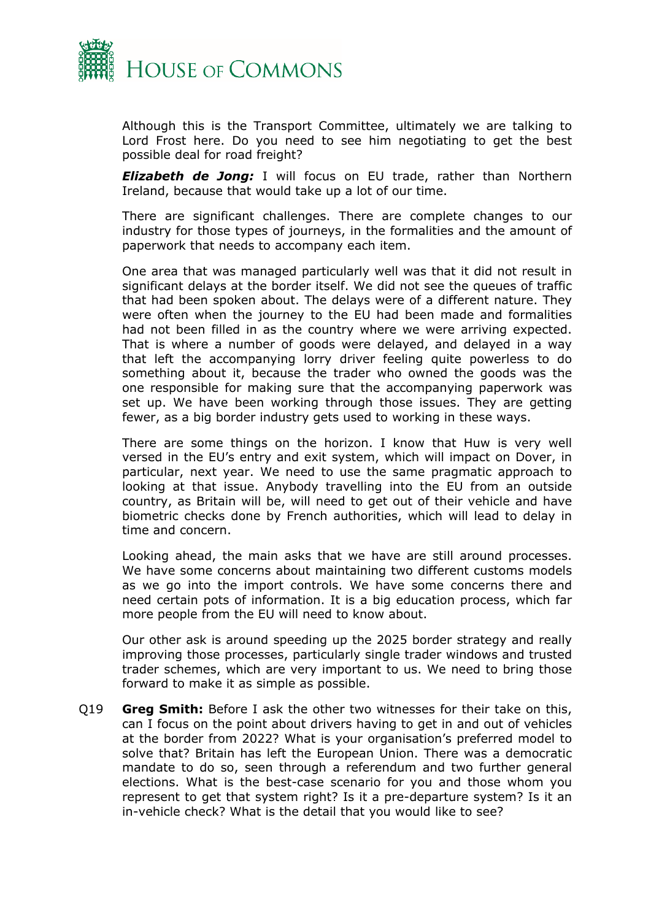

Although this is the Transport Committee, ultimately we are talking to Lord Frost here. Do you need to see him negotiating to get the best possible deal for road freight?

*Elizabeth de Jong:* I will focus on EU trade, rather than Northern Ireland, because that would take up a lot of our time.

There are significant challenges. There are complete changes to our industry for those types of journeys, in the formalities and the amount of paperwork that needs to accompany each item.

One area that was managed particularly well was that it did not result in significant delays at the border itself. We did not see the queues of traffic that had been spoken about. The delays were of a different nature. They were often when the journey to the EU had been made and formalities had not been filled in as the country where we were arriving expected. That is where a number of goods were delayed, and delayed in a way that left the accompanying lorry driver feeling quite powerless to do something about it, because the trader who owned the goods was the one responsible for making sure that the accompanying paperwork was set up. We have been working through those issues. They are getting fewer, as a big border industry gets used to working in these ways.

There are some things on the horizon. I know that Huw is very well versed in the EU's entry and exit system, which will impact on Dover, in particular, next year. We need to use the same pragmatic approach to looking at that issue. Anybody travelling into the EU from an outside country, as Britain will be, will need to get out of their vehicle and have biometric checks done by French authorities, which will lead to delay in time and concern.

Looking ahead, the main asks that we have are still around processes. We have some concerns about maintaining two different customs models as we go into the import controls. We have some concerns there and need certain pots of information. It is a big education process, which far more people from the EU will need to know about.

Our other ask is around speeding up the 2025 border strategy and really improving those processes, particularly single trader windows and trusted trader schemes, which are very important to us. We need to bring those forward to make it as simple as possible.

Q19 **Greg Smith:** Before I ask the other two witnesses for their take on this, can I focus on the point about drivers having to get in and out of vehicles at the border from 2022? What is your organisation's preferred model to solve that? Britain has left the European Union. There was a democratic mandate to do so, seen through a referendum and two further general elections. What is the best-case scenario for you and those whom you represent to get that system right? Is it a pre-departure system? Is it an in-vehicle check? What is the detail that you would like to see?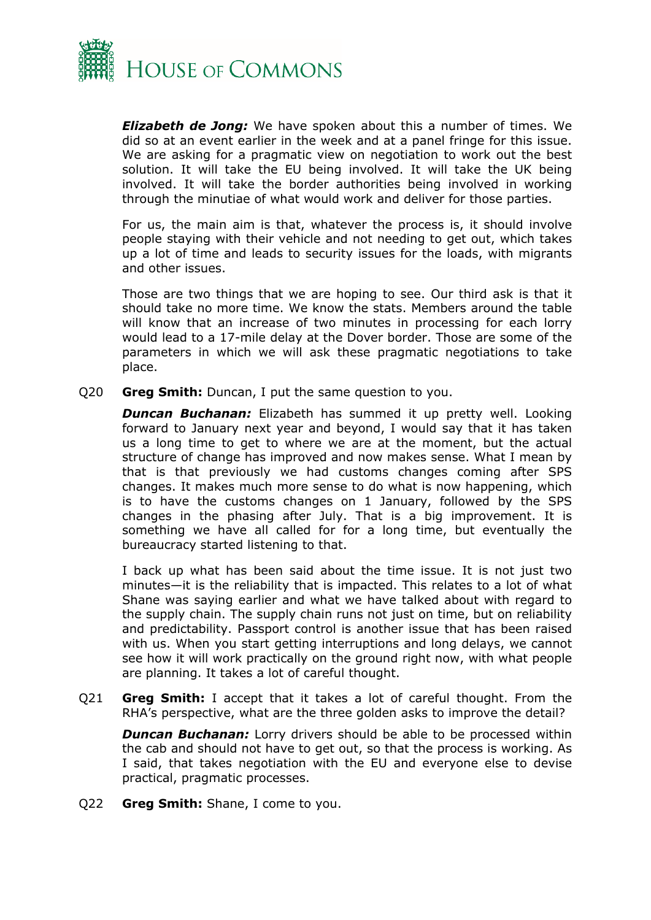

*Elizabeth de Jong:* We have spoken about this a number of times. We did so at an event earlier in the week and at a panel fringe for this issue. We are asking for a pragmatic view on negotiation to work out the best solution. It will take the EU being involved. It will take the UK being involved. It will take the border authorities being involved in working through the minutiae of what would work and deliver for those parties.

For us, the main aim is that, whatever the process is, it should involve people staying with their vehicle and not needing to get out, which takes up a lot of time and leads to security issues for the loads, with migrants and other issues.

Those are two things that we are hoping to see. Our third ask is that it should take no more time. We know the stats. Members around the table will know that an increase of two minutes in processing for each lorry would lead to a 17-mile delay at the Dover border. Those are some of the parameters in which we will ask these pragmatic negotiations to take place.

Q20 **Greg Smith:** Duncan, I put the same question to you.

*Duncan Buchanan:* Elizabeth has summed it up pretty well. Looking forward to January next year and beyond, I would say that it has taken us a long time to get to where we are at the moment, but the actual structure of change has improved and now makes sense. What I mean by that is that previously we had customs changes coming after SPS changes. It makes much more sense to do what is now happening, which is to have the customs changes on 1 January, followed by the SPS changes in the phasing after July. That is a big improvement. It is something we have all called for for a long time, but eventually the bureaucracy started listening to that.

I back up what has been said about the time issue. It is not just two minutes—it is the reliability that is impacted. This relates to a lot of what Shane was saying earlier and what we have talked about with regard to the supply chain. The supply chain runs not just on time, but on reliability and predictability. Passport control is another issue that has been raised with us. When you start getting interruptions and long delays, we cannot see how it will work practically on the ground right now, with what people are planning. It takes a lot of careful thought.

Q21 **Greg Smith:** I accept that it takes a lot of careful thought. From the RHA's perspective, what are the three golden asks to improve the detail?

**Duncan Buchanan:** Lorry drivers should be able to be processed within the cab and should not have to get out, so that the process is working. As I said, that takes negotiation with the EU and everyone else to devise practical, pragmatic processes.

Q22 **Greg Smith:** Shane, I come to you.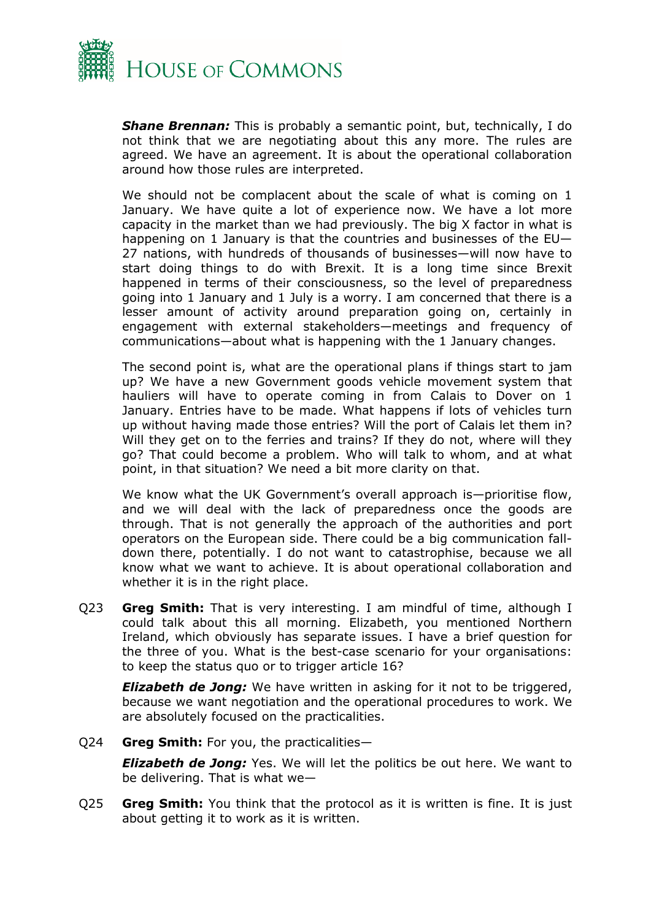

*Shane Brennan:* This is probably a semantic point, but, technically, I do not think that we are negotiating about this any more. The rules are agreed. We have an agreement. It is about the operational collaboration around how those rules are interpreted.

We should not be complacent about the scale of what is coming on 1 January. We have quite a lot of experience now. We have a lot more capacity in the market than we had previously. The big X factor in what is happening on 1 January is that the countries and businesses of the EU— 27 nations, with hundreds of thousands of businesses—will now have to start doing things to do with Brexit. It is a long time since Brexit happened in terms of their consciousness, so the level of preparedness going into 1 January and 1 July is a worry. I am concerned that there is a lesser amount of activity around preparation going on, certainly in engagement with external stakeholders—meetings and frequency of communications—about what is happening with the 1 January changes.

The second point is, what are the operational plans if things start to jam up? We have a new Government goods vehicle movement system that hauliers will have to operate coming in from Calais to Dover on 1 January. Entries have to be made. What happens if lots of vehicles turn up without having made those entries? Will the port of Calais let them in? Will they get on to the ferries and trains? If they do not, where will they go? That could become a problem. Who will talk to whom, and at what point, in that situation? We need a bit more clarity on that.

We know what the UK Government's overall approach is—prioritise flow, and we will deal with the lack of preparedness once the goods are through. That is not generally the approach of the authorities and port operators on the European side. There could be a big communication falldown there, potentially. I do not want to catastrophise, because we all know what we want to achieve. It is about operational collaboration and whether it is in the right place.

Q23 **Greg Smith:** That is very interesting. I am mindful of time, although I could talk about this all morning. Elizabeth, you mentioned Northern Ireland, which obviously has separate issues. I have a brief question for the three of you. What is the best-case scenario for your organisations: to keep the status quo or to trigger article 16?

*Elizabeth de Jong:* We have written in asking for it not to be triggered, because we want negotiation and the operational procedures to work. We are absolutely focused on the practicalities.

Q24 **Greg Smith:** For you, the practicalities—

*Elizabeth de Jong:* Yes. We will let the politics be out here. We want to be delivering. That is what we—

Q25 **Greg Smith:** You think that the protocol as it is written is fine. It is just about getting it to work as it is written.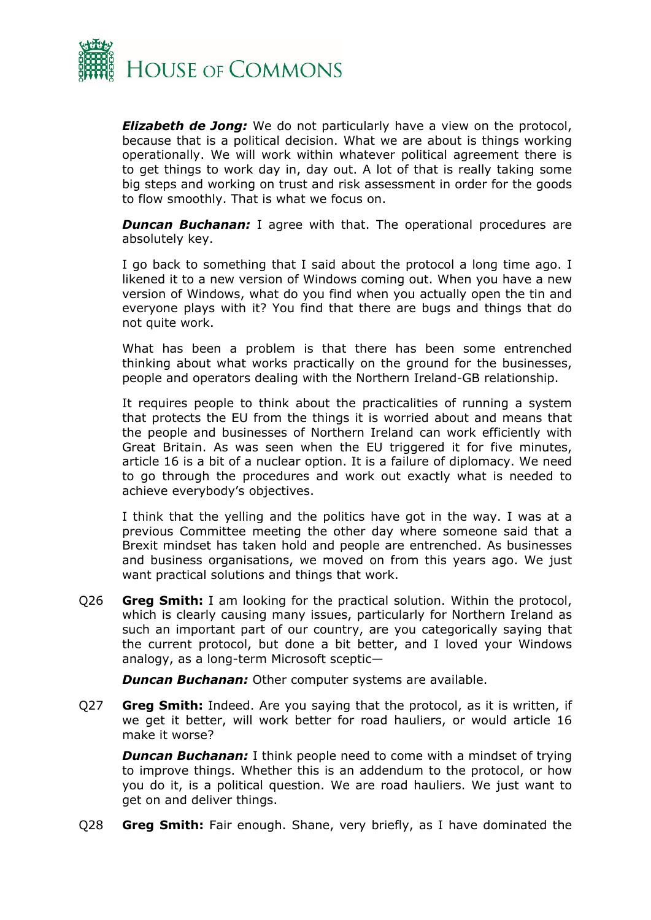

*Elizabeth de Jong:* We do not particularly have a view on the protocol, because that is a political decision. What we are about is things working operationally. We will work within whatever political agreement there is to get things to work day in, day out. A lot of that is really taking some big steps and working on trust and risk assessment in order for the goods to flow smoothly. That is what we focus on.

**Duncan Buchanan:** I agree with that. The operational procedures are absolutely key.

I go back to something that I said about the protocol a long time ago. I likened it to a new version of Windows coming out. When you have a new version of Windows, what do you find when you actually open the tin and everyone plays with it? You find that there are bugs and things that do not quite work.

What has been a problem is that there has been some entrenched thinking about what works practically on the ground for the businesses, people and operators dealing with the Northern Ireland-GB relationship.

It requires people to think about the practicalities of running a system that protects the EU from the things it is worried about and means that the people and businesses of Northern Ireland can work efficiently with Great Britain. As was seen when the EU triggered it for five minutes, article 16 is a bit of a nuclear option. It is a failure of diplomacy. We need to go through the procedures and work out exactly what is needed to achieve everybody's objectives.

I think that the yelling and the politics have got in the way. I was at a previous Committee meeting the other day where someone said that a Brexit mindset has taken hold and people are entrenched. As businesses and business organisations, we moved on from this years ago. We just want practical solutions and things that work.

Q26 **Greg Smith:** I am looking for the practical solution. Within the protocol, which is clearly causing many issues, particularly for Northern Ireland as such an important part of our country, are you categorically saying that the current protocol, but done a bit better, and I loved your Windows analogy, as a long-term Microsoft sceptic—

*Duncan Buchanan:* Other computer systems are available.

Q27 **Greg Smith:** Indeed. Are you saying that the protocol, as it is written, if we get it better, will work better for road hauliers, or would article 16 make it worse?

**Duncan Buchanan:** I think people need to come with a mindset of trying to improve things. Whether this is an addendum to the protocol, or how you do it, is a political question. We are road hauliers. We just want to get on and deliver things.

Q28 **Greg Smith:** Fair enough. Shane, very briefly, as I have dominated the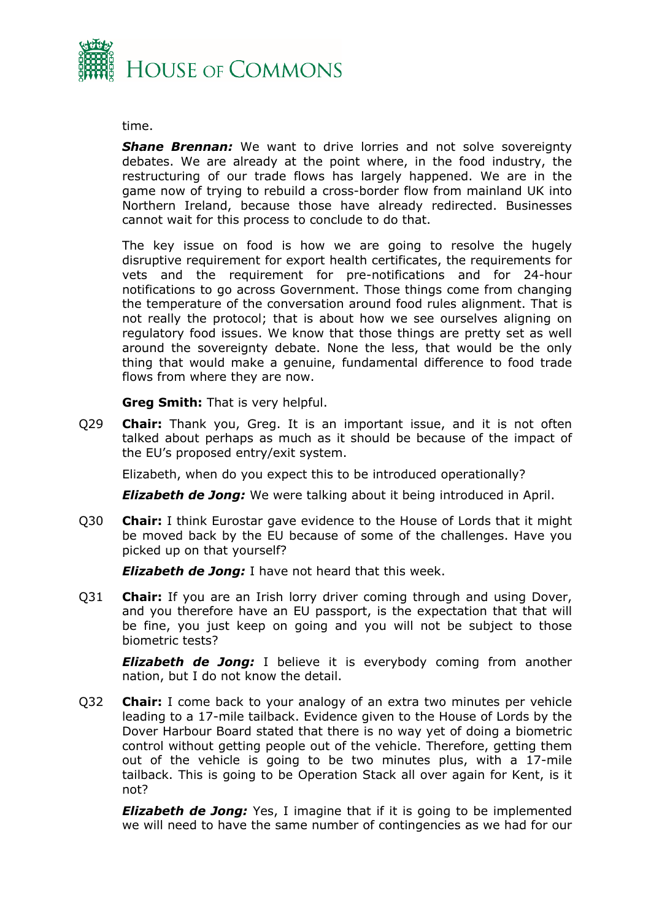

time.

**Shane Brennan:** We want to drive lorries and not solve sovereignty debates. We are already at the point where, in the food industry, the restructuring of our trade flows has largely happened. We are in the game now of trying to rebuild a cross-border flow from mainland UK into Northern Ireland, because those have already redirected. Businesses cannot wait for this process to conclude to do that.

The key issue on food is how we are going to resolve the hugely disruptive requirement for export health certificates, the requirements for vets and the requirement for pre-notifications and for 24-hour notifications to go across Government. Those things come from changing the temperature of the conversation around food rules alignment. That is not really the protocol; that is about how we see ourselves aligning on regulatory food issues. We know that those things are pretty set as well around the sovereignty debate. None the less, that would be the only thing that would make a genuine, fundamental difference to food trade flows from where they are now.

**Greg Smith:** That is very helpful.

Q29 **Chair:** Thank you, Greg. It is an important issue, and it is not often talked about perhaps as much as it should be because of the impact of the EU's proposed entry/exit system.

Elizabeth, when do you expect this to be introduced operationally?

*Elizabeth de Jong:* We were talking about it being introduced in April.

Q30 **Chair:** I think Eurostar gave evidence to the House of Lords that it might be moved back by the EU because of some of the challenges. Have you picked up on that yourself?

*Elizabeth de Jong:* I have not heard that this week.

Q31 **Chair:** If you are an Irish lorry driver coming through and using Dover, and you therefore have an EU passport, is the expectation that that will be fine, you just keep on going and you will not be subject to those biometric tests?

*Elizabeth de Jong:* I believe it is everybody coming from another nation, but I do not know the detail.

Q32 **Chair:** I come back to your analogy of an extra two minutes per vehicle leading to a 17-mile tailback. Evidence given to the House of Lords by the Dover Harbour Board stated that there is no way yet of doing a biometric control without getting people out of the vehicle. Therefore, getting them out of the vehicle is going to be two minutes plus, with a 17-mile tailback. This is going to be Operation Stack all over again for Kent, is it not?

*Elizabeth de Jong:* Yes, I imagine that if it is going to be implemented we will need to have the same number of contingencies as we had for our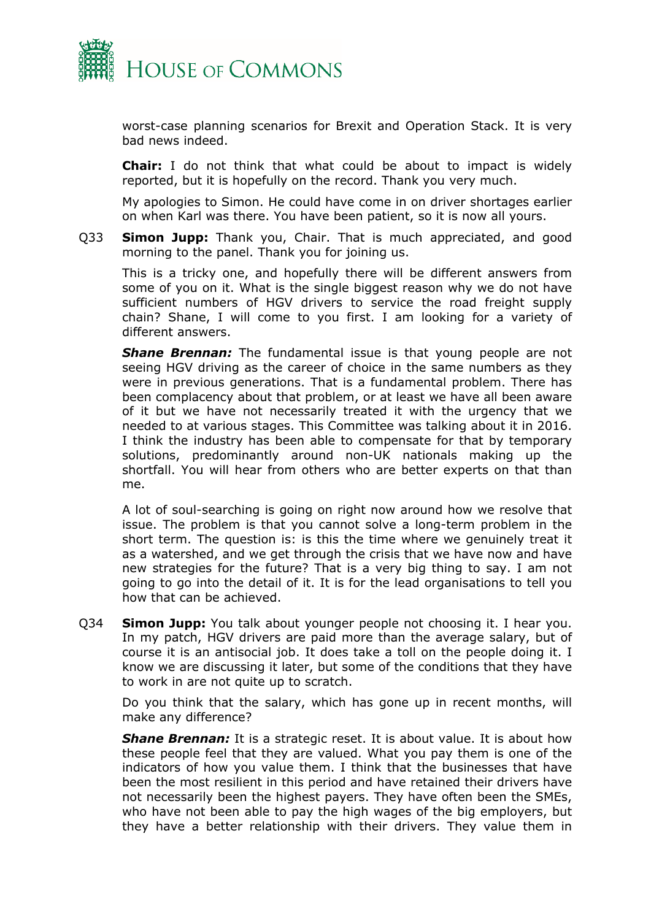

worst-case planning scenarios for Brexit and Operation Stack. It is very bad news indeed.

**Chair:** I do not think that what could be about to impact is widely reported, but it is hopefully on the record. Thank you very much.

My apologies to Simon. He could have come in on driver shortages earlier on when Karl was there. You have been patient, so it is now all yours.

Q33 **Simon Jupp:** Thank you, Chair. That is much appreciated, and good morning to the panel. Thank you for joining us.

This is a tricky one, and hopefully there will be different answers from some of you on it. What is the single biggest reason why we do not have sufficient numbers of HGV drivers to service the road freight supply chain? Shane, I will come to you first. I am looking for a variety of different answers.

**Shane Brennan:** The fundamental issue is that young people are not seeing HGV driving as the career of choice in the same numbers as they were in previous generations. That is a fundamental problem. There has been complacency about that problem, or at least we have all been aware of it but we have not necessarily treated it with the urgency that we needed to at various stages. This Committee was talking about it in 2016. I think the industry has been able to compensate for that by temporary solutions, predominantly around non-UK nationals making up the shortfall. You will hear from others who are better experts on that than me.

A lot of soul-searching is going on right now around how we resolve that issue. The problem is that you cannot solve a long-term problem in the short term. The question is: is this the time where we genuinely treat it as a watershed, and we get through the crisis that we have now and have new strategies for the future? That is a very big thing to say. I am not going to go into the detail of it. It is for the lead organisations to tell you how that can be achieved.

Q34 **Simon Jupp:** You talk about younger people not choosing it. I hear you. In my patch, HGV drivers are paid more than the average salary, but of course it is an antisocial job. It does take a toll on the people doing it. I know we are discussing it later, but some of the conditions that they have to work in are not quite up to scratch.

Do you think that the salary, which has gone up in recent months, will make any difference?

*Shane Brennan:* It is a strategic reset. It is about value. It is about how these people feel that they are valued. What you pay them is one of the indicators of how you value them. I think that the businesses that have been the most resilient in this period and have retained their drivers have not necessarily been the highest payers. They have often been the SMEs, who have not been able to pay the high wages of the big employers, but they have a better relationship with their drivers. They value them in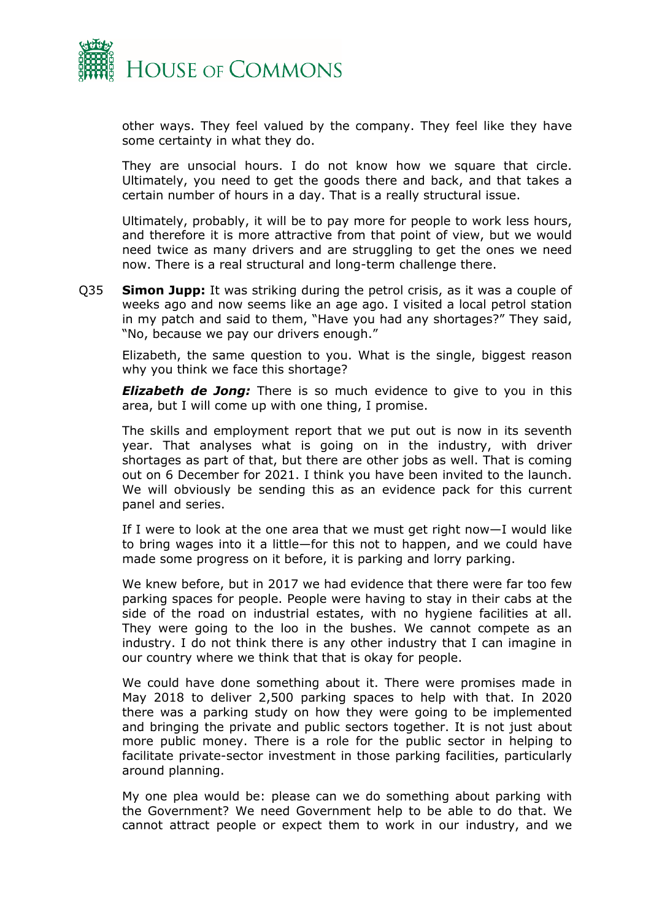

other ways. They feel valued by the company. They feel like they have some certainty in what they do.

They are unsocial hours. I do not know how we square that circle. Ultimately, you need to get the goods there and back, and that takes a certain number of hours in a day. That is a really structural issue.

Ultimately, probably, it will be to pay more for people to work less hours, and therefore it is more attractive from that point of view, but we would need twice as many drivers and are struggling to get the ones we need now. There is a real structural and long-term challenge there.

Q35 **Simon Jupp:** It was striking during the petrol crisis, as it was a couple of weeks ago and now seems like an age ago. I visited a local petrol station in my patch and said to them, "Have you had any shortages?" They said, "No, because we pay our drivers enough."

Elizabeth, the same question to you. What is the single, biggest reason why you think we face this shortage?

*Elizabeth de Jong:* There is so much evidence to give to you in this area, but I will come up with one thing, I promise.

The skills and employment report that we put out is now in its seventh year. That analyses what is going on in the industry, with driver shortages as part of that, but there are other jobs as well. That is coming out on 6 December for 2021. I think you have been invited to the launch. We will obviously be sending this as an evidence pack for this current panel and series.

If I were to look at the one area that we must get right now—I would like to bring wages into it a little—for this not to happen, and we could have made some progress on it before, it is parking and lorry parking.

We knew before, but in 2017 we had evidence that there were far too few parking spaces for people. People were having to stay in their cabs at the side of the road on industrial estates, with no hygiene facilities at all. They were going to the loo in the bushes. We cannot compete as an industry. I do not think there is any other industry that I can imagine in our country where we think that that is okay for people.

We could have done something about it. There were promises made in May 2018 to deliver 2,500 parking spaces to help with that. In 2020 there was a parking study on how they were going to be implemented and bringing the private and public sectors together. It is not just about more public money. There is a role for the public sector in helping to facilitate private-sector investment in those parking facilities, particularly around planning.

My one plea would be: please can we do something about parking with the Government? We need Government help to be able to do that. We cannot attract people or expect them to work in our industry, and we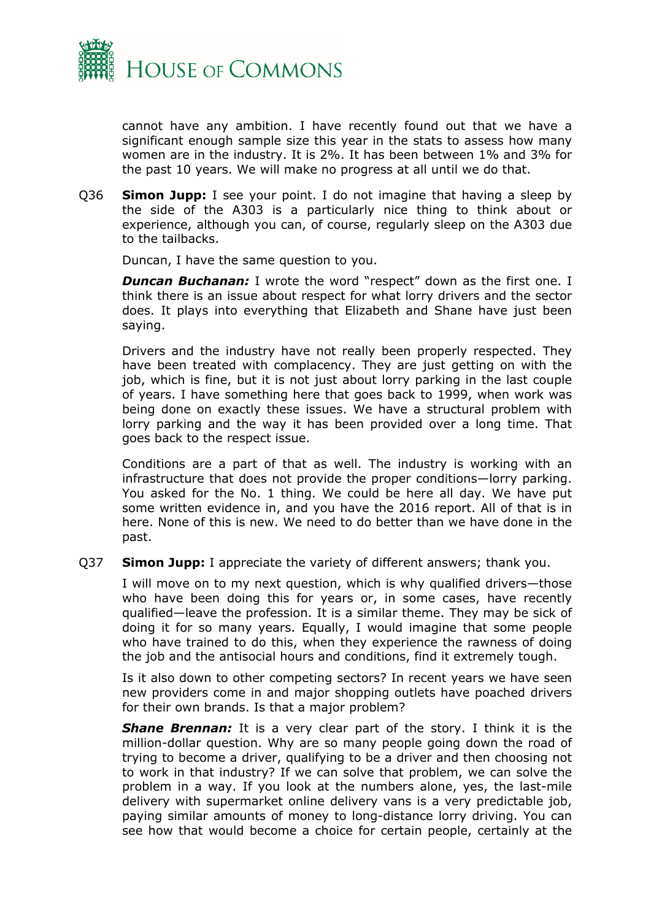

cannot have any ambition. I have recently found out that we have a significant enough sample size this year in the stats to assess how many women are in the industry. It is 2%. It has been between 1% and 3% for the past 10 years. We will make no progress at all until we do that.

Q36 **Simon Jupp:** I see your point. I do not imagine that having a sleep by the side of the A303 is a particularly nice thing to think about or experience, although you can, of course, regularly sleep on the A303 due to the tailbacks.

Duncan, I have the same question to you.

**Duncan Buchanan:** I wrote the word "respect" down as the first one. I think there is an issue about respect for what lorry drivers and the sector does. It plays into everything that Elizabeth and Shane have just been saying.

Drivers and the industry have not really been properly respected. They have been treated with complacency. They are just getting on with the job, which is fine, but it is not just about lorry parking in the last couple of years. I have something here that goes back to 1999, when work was being done on exactly these issues. We have a structural problem with lorry parking and the way it has been provided over a long time. That goes back to the respect issue.

Conditions are a part of that as well. The industry is working with an infrastructure that does not provide the proper conditions—lorry parking. You asked for the No. 1 thing. We could be here all day. We have put some written evidence in, and you have the 2016 report. All of that is in here. None of this is new. We need to do better than we have done in the past.

Q37 **Simon Jupp:** I appreciate the variety of different answers; thank you.

I will move on to my next question, which is why qualified drivers—those who have been doing this for years or, in some cases, have recently qualified—leave the profession. It is a similar theme. They may be sick of doing it for so many years. Equally, I would imagine that some people who have trained to do this, when they experience the rawness of doing the job and the antisocial hours and conditions, find it extremely tough.

Is it also down to other competing sectors? In recent years we have seen new providers come in and major shopping outlets have poached drivers for their own brands. Is that a major problem?

**Shane Brennan:** It is a very clear part of the story. I think it is the million-dollar question. Why are so many people going down the road of trying to become a driver, qualifying to be a driver and then choosing not to work in that industry? If we can solve that problem, we can solve the problem in a way. If you look at the numbers alone, yes, the last-mile delivery with supermarket online delivery vans is a very predictable job, paying similar amounts of money to long-distance lorry driving. You can see how that would become a choice for certain people, certainly at the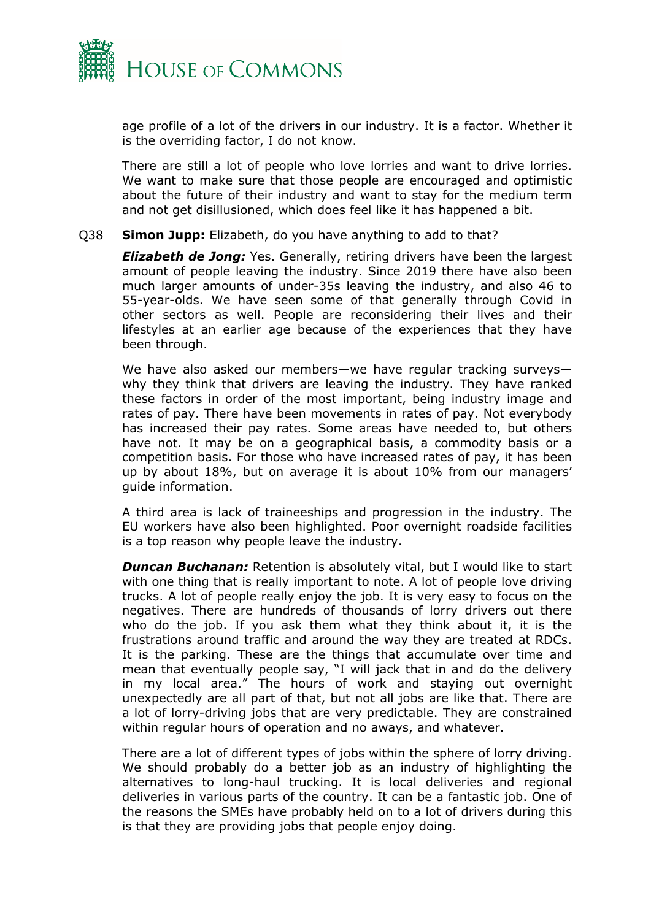

age profile of a lot of the drivers in our industry. It is a factor. Whether it is the overriding factor, I do not know.

There are still a lot of people who love lorries and want to drive lorries. We want to make sure that those people are encouraged and optimistic about the future of their industry and want to stay for the medium term and not get disillusioned, which does feel like it has happened a bit.

#### Q38 **Simon Jupp:** Elizabeth, do you have anything to add to that?

*Elizabeth de Jong:* Yes. Generally, retiring drivers have been the largest amount of people leaving the industry. Since 2019 there have also been much larger amounts of under-35s leaving the industry, and also 46 to 55-year-olds. We have seen some of that generally through Covid in other sectors as well. People are reconsidering their lives and their lifestyles at an earlier age because of the experiences that they have been through.

We have also asked our members—we have regular tracking surveys why they think that drivers are leaving the industry. They have ranked these factors in order of the most important, being industry image and rates of pay. There have been movements in rates of pay. Not everybody has increased their pay rates. Some areas have needed to, but others have not. It may be on a geographical basis, a commodity basis or a competition basis. For those who have increased rates of pay, it has been up by about 18%, but on average it is about 10% from our managers' guide information.

A third area is lack of traineeships and progression in the industry. The EU workers have also been highlighted. Poor overnight roadside facilities is a top reason why people leave the industry.

*Duncan Buchanan:* Retention is absolutely vital, but I would like to start with one thing that is really important to note. A lot of people love driving trucks. A lot of people really enjoy the job. It is very easy to focus on the negatives. There are hundreds of thousands of lorry drivers out there who do the job. If you ask them what they think about it, it is the frustrations around traffic and around the way they are treated at RDCs. It is the parking. These are the things that accumulate over time and mean that eventually people say, "I will jack that in and do the delivery in my local area." The hours of work and staying out overnight unexpectedly are all part of that, but not all jobs are like that. There are a lot of lorry-driving jobs that are very predictable. They are constrained within regular hours of operation and no aways, and whatever.

There are a lot of different types of jobs within the sphere of lorry driving. We should probably do a better job as an industry of highlighting the alternatives to long-haul trucking. It is local deliveries and regional deliveries in various parts of the country. It can be a fantastic job. One of the reasons the SMEs have probably held on to a lot of drivers during this is that they are providing jobs that people enjoy doing.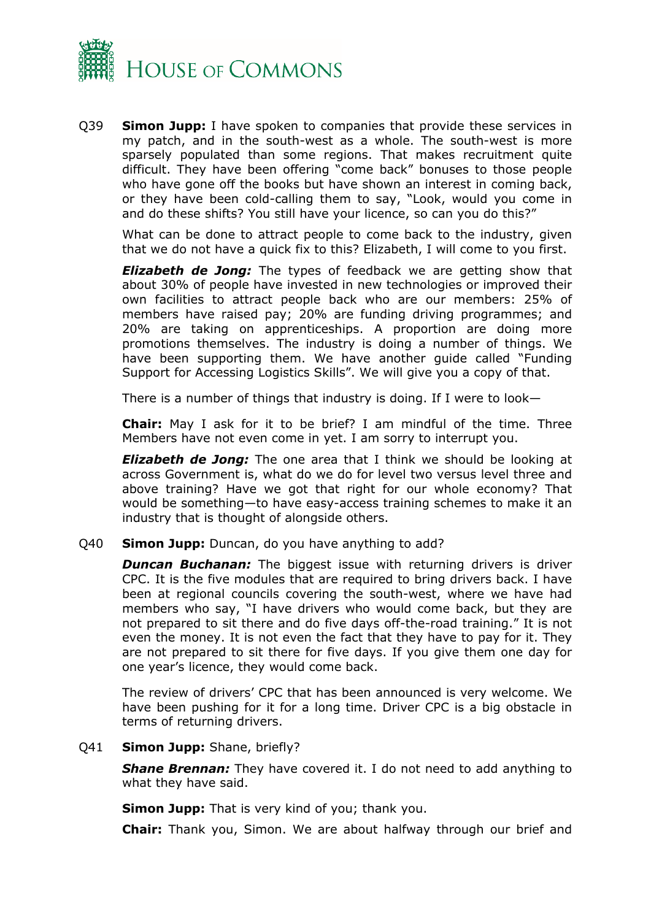

Q39 **Simon Jupp:** I have spoken to companies that provide these services in my patch, and in the south-west as a whole. The south-west is more sparsely populated than some regions. That makes recruitment quite difficult. They have been offering "come back" bonuses to those people who have gone off the books but have shown an interest in coming back, or they have been cold-calling them to say, "Look, would you come in and do these shifts? You still have your licence, so can you do this?"

What can be done to attract people to come back to the industry, given that we do not have a quick fix to this? Elizabeth, I will come to you first.

*Elizabeth de Jong:* The types of feedback we are getting show that about 30% of people have invested in new technologies or improved their own facilities to attract people back who are our members: 25% of members have raised pay; 20% are funding driving programmes; and 20% are taking on apprenticeships. A proportion are doing more promotions themselves. The industry is doing a number of things. We have been supporting them. We have another guide called "Funding Support for Accessing Logistics Skills". We will give you a copy of that.

There is a number of things that industry is doing. If I were to look—

**Chair:** May I ask for it to be brief? I am mindful of the time. Three Members have not even come in yet. I am sorry to interrupt you.

*Elizabeth de Jong:* The one area that I think we should be looking at across Government is, what do we do for level two versus level three and above training? Have we got that right for our whole economy? That would be something—to have easy-access training schemes to make it an industry that is thought of alongside others.

#### Q40 **Simon Jupp:** Duncan, do you have anything to add?

**Duncan Buchanan:** The biggest issue with returning drivers is driver CPC. It is the five modules that are required to bring drivers back. I have been at regional councils covering the south-west, where we have had members who say, "I have drivers who would come back, but they are not prepared to sit there and do five days off-the-road training." It is not even the money. It is not even the fact that they have to pay for it. They are not prepared to sit there for five days. If you give them one day for one year's licence, they would come back.

The review of drivers' CPC that has been announced is very welcome. We have been pushing for it for a long time. Driver CPC is a big obstacle in terms of returning drivers.

#### Q41 **Simon Jupp:** Shane, briefly?

*Shane Brennan:* They have covered it. I do not need to add anything to what they have said.

**Simon Jupp:** That is very kind of you; thank you.

**Chair:** Thank you, Simon. We are about halfway through our brief and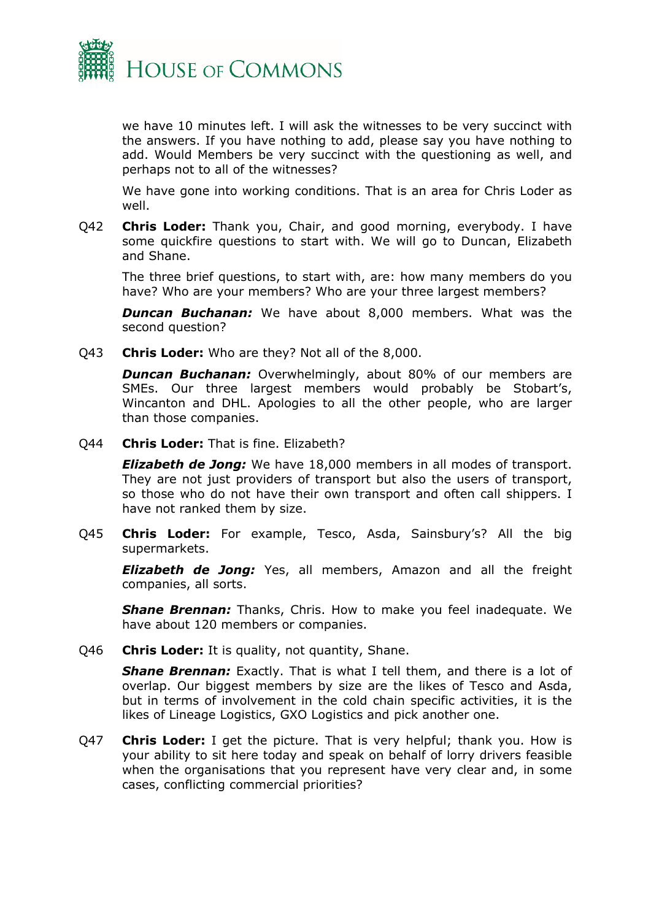

we have 10 minutes left. I will ask the witnesses to be very succinct with the answers. If you have nothing to add, please say you have nothing to add. Would Members be very succinct with the questioning as well, and perhaps not to all of the witnesses?

We have gone into working conditions. That is an area for Chris Loder as well.

Q42 **Chris Loder:** Thank you, Chair, and good morning, everybody. I have some quickfire questions to start with. We will go to Duncan, Elizabeth and Shane.

The three brief questions, to start with, are: how many members do you have? Who are your members? Who are your three largest members?

*Duncan Buchanan:* We have about 8,000 members. What was the second question?

Q43 **Chris Loder:** Who are they? Not all of the 8,000.

*Duncan Buchanan:* Overwhelmingly, about 80% of our members are SMEs. Our three largest members would probably be Stobart's, Wincanton and DHL. Apologies to all the other people, who are larger than those companies.

Q44 **Chris Loder:** That is fine. Elizabeth?

*Elizabeth de Jong:* We have 18,000 members in all modes of transport. They are not just providers of transport but also the users of transport, so those who do not have their own transport and often call shippers. I have not ranked them by size.

Q45 **Chris Loder:** For example, Tesco, Asda, Sainsbury's? All the big supermarkets.

*Elizabeth de Jong:* Yes, all members, Amazon and all the freight companies, all sorts.

*Shane Brennan:* Thanks, Chris. How to make you feel inadequate. We have about 120 members or companies.

Q46 **Chris Loder:** It is quality, not quantity, Shane.

*Shane Brennan:* Exactly. That is what I tell them, and there is a lot of overlap. Our biggest members by size are the likes of Tesco and Asda, but in terms of involvement in the cold chain specific activities, it is the likes of Lineage Logistics, GXO Logistics and pick another one.

Q47 **Chris Loder:** I get the picture. That is very helpful; thank you. How is your ability to sit here today and speak on behalf of lorry drivers feasible when the organisations that you represent have very clear and, in some cases, conflicting commercial priorities?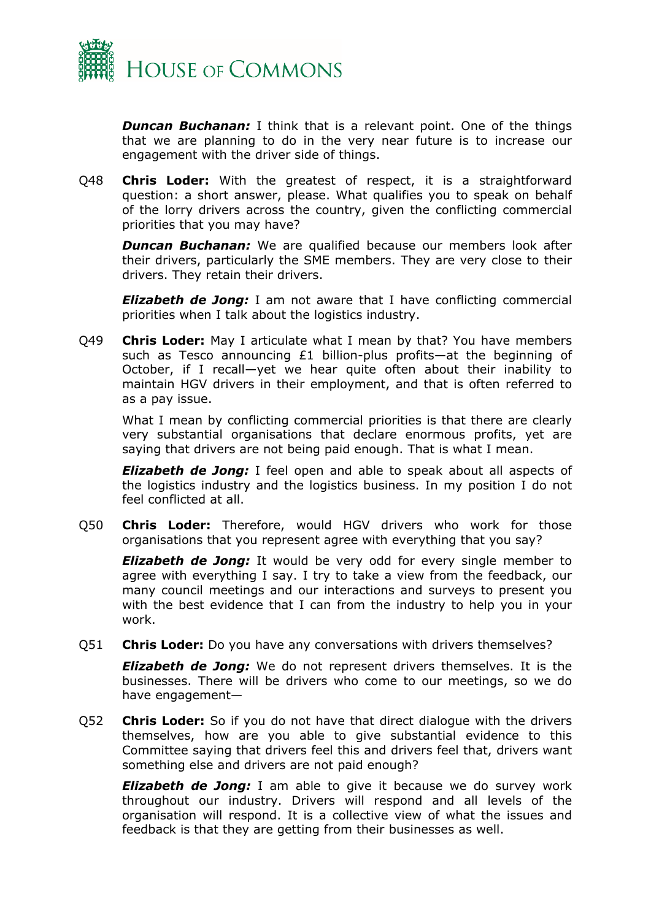

*Duncan Buchanan:* I think that is a relevant point. One of the things that we are planning to do in the very near future is to increase our engagement with the driver side of things.

Q48 **Chris Loder:** With the greatest of respect, it is a straightforward question: a short answer, please. What qualifies you to speak on behalf of the lorry drivers across the country, given the conflicting commercial priorities that you may have?

**Duncan Buchanan:** We are qualified because our members look after their drivers, particularly the SME members. They are very close to their drivers. They retain their drivers.

*Elizabeth de Jong:* I am not aware that I have conflicting commercial priorities when I talk about the logistics industry.

Q49 **Chris Loder:** May I articulate what I mean by that? You have members such as Tesco announcing £1 billion-plus profits—at the beginning of October, if I recall—yet we hear quite often about their inability to maintain HGV drivers in their employment, and that is often referred to as a pay issue.

What I mean by conflicting commercial priorities is that there are clearly very substantial organisations that declare enormous profits, yet are saying that drivers are not being paid enough. That is what I mean.

*Elizabeth de Jong:* I feel open and able to speak about all aspects of the logistics industry and the logistics business. In my position I do not feel conflicted at all.

Q50 **Chris Loder:** Therefore, would HGV drivers who work for those organisations that you represent agree with everything that you say?

*Elizabeth de Jong:* It would be very odd for every single member to agree with everything I say. I try to take a view from the feedback, our many council meetings and our interactions and surveys to present you with the best evidence that I can from the industry to help you in your work.

Q51 **Chris Loder:** Do you have any conversations with drivers themselves?

*Elizabeth de Jong:* We do not represent drivers themselves. It is the businesses. There will be drivers who come to our meetings, so we do have engagement—

Q52 **Chris Loder:** So if you do not have that direct dialogue with the drivers themselves, how are you able to give substantial evidence to this Committee saying that drivers feel this and drivers feel that, drivers want something else and drivers are not paid enough?

*Elizabeth de Jong:* I am able to give it because we do survey work throughout our industry. Drivers will respond and all levels of the organisation will respond. It is a collective view of what the issues and feedback is that they are getting from their businesses as well.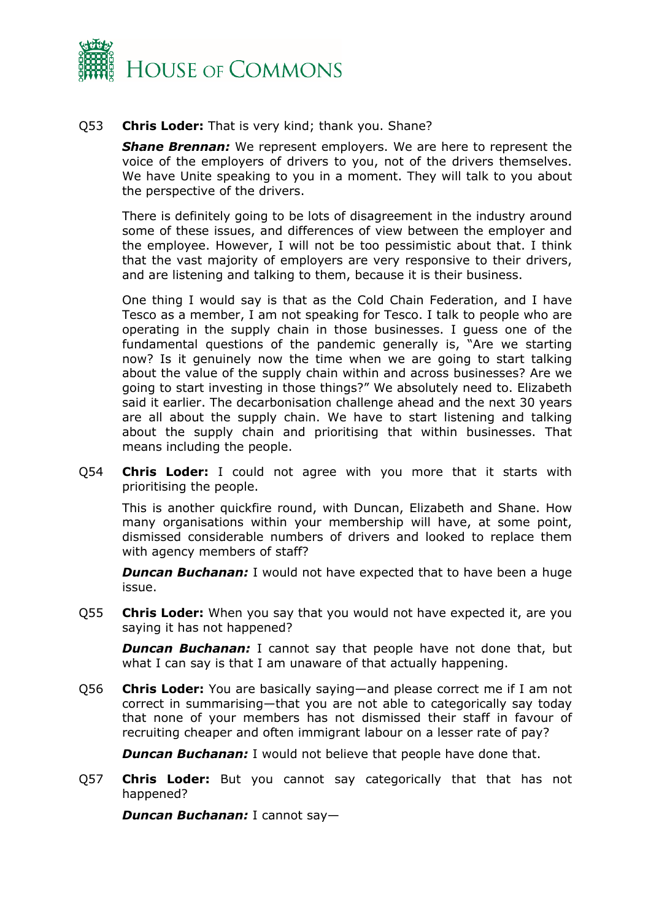

# Q53 **Chris Loder:** That is very kind; thank you. Shane?

*Shane Brennan:* We represent employers. We are here to represent the voice of the employers of drivers to you, not of the drivers themselves. We have Unite speaking to you in a moment. They will talk to you about the perspective of the drivers.

There is definitely going to be lots of disagreement in the industry around some of these issues, and differences of view between the employer and the employee. However, I will not be too pessimistic about that. I think that the vast majority of employers are very responsive to their drivers, and are listening and talking to them, because it is their business.

One thing I would say is that as the Cold Chain Federation, and I have Tesco as a member, I am not speaking for Tesco. I talk to people who are operating in the supply chain in those businesses. I guess one of the fundamental questions of the pandemic generally is, "Are we starting now? Is it genuinely now the time when we are going to start talking about the value of the supply chain within and across businesses? Are we going to start investing in those things?" We absolutely need to. Elizabeth said it earlier. The decarbonisation challenge ahead and the next 30 years are all about the supply chain. We have to start listening and talking about the supply chain and prioritising that within businesses. That means including the people.

Q54 **Chris Loder:** I could not agree with you more that it starts with prioritising the people.

This is another quickfire round, with Duncan, Elizabeth and Shane. How many organisations within your membership will have, at some point, dismissed considerable numbers of drivers and looked to replace them with agency members of staff?

**Duncan Buchanan:** I would not have expected that to have been a huge issue.

Q55 **Chris Loder:** When you say that you would not have expected it, are you saying it has not happened?

**Duncan Buchanan:** I cannot say that people have not done that, but what I can say is that I am unaware of that actually happening.

Q56 **Chris Loder:** You are basically saying—and please correct me if I am not correct in summarising—that you are not able to categorically say today that none of your members has not dismissed their staff in favour of recruiting cheaper and often immigrant labour on a lesser rate of pay?

*Duncan Buchanan:* I would not believe that people have done that.

Q57 **Chris Loder:** But you cannot say categorically that that has not happened?

*Duncan Buchanan:* I cannot say—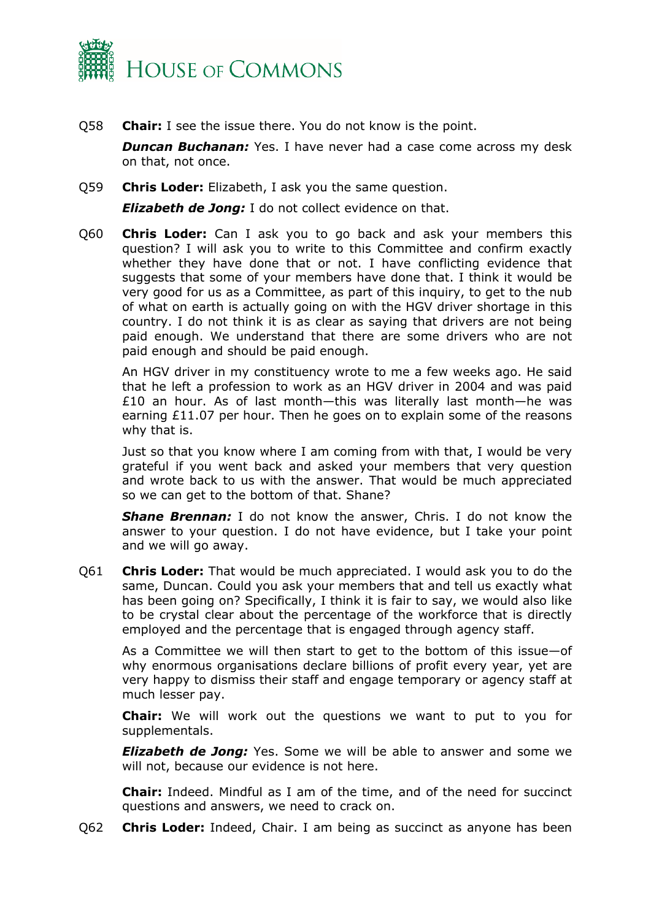

Q58 **Chair:** I see the issue there. You do not know is the point.

*Duncan Buchanan:* Yes. I have never had a case come across my desk on that, not once.

Q59 **Chris Loder:** Elizabeth, I ask you the same question.

*Elizabeth de Jong:* I do not collect evidence on that.

Q60 **Chris Loder:** Can I ask you to go back and ask your members this question? I will ask you to write to this Committee and confirm exactly whether they have done that or not. I have conflicting evidence that suggests that some of your members have done that. I think it would be very good for us as a Committee, as part of this inquiry, to get to the nub of what on earth is actually going on with the HGV driver shortage in this country. I do not think it is as clear as saying that drivers are not being paid enough. We understand that there are some drivers who are not paid enough and should be paid enough.

An HGV driver in my constituency wrote to me a few weeks ago. He said that he left a profession to work as an HGV driver in 2004 and was paid £10 an hour. As of last month—this was literally last month—he was earning £11.07 per hour. Then he goes on to explain some of the reasons why that is.

Just so that you know where I am coming from with that, I would be very grateful if you went back and asked your members that very question and wrote back to us with the answer. That would be much appreciated so we can get to the bottom of that. Shane?

*Shane Brennan:* I do not know the answer, Chris. I do not know the answer to your question. I do not have evidence, but I take your point and we will go away.

Q61 **Chris Loder:** That would be much appreciated. I would ask you to do the same, Duncan. Could you ask your members that and tell us exactly what has been going on? Specifically, I think it is fair to say, we would also like to be crystal clear about the percentage of the workforce that is directly employed and the percentage that is engaged through agency staff.

As a Committee we will then start to get to the bottom of this issue—of why enormous organisations declare billions of profit every year, yet are very happy to dismiss their staff and engage temporary or agency staff at much lesser pay.

**Chair:** We will work out the questions we want to put to you for supplementals.

*Elizabeth de Jong:* Yes. Some we will be able to answer and some we will not, because our evidence is not here.

**Chair:** Indeed. Mindful as I am of the time, and of the need for succinct questions and answers, we need to crack on.

Q62 **Chris Loder:** Indeed, Chair. I am being as succinct as anyone has been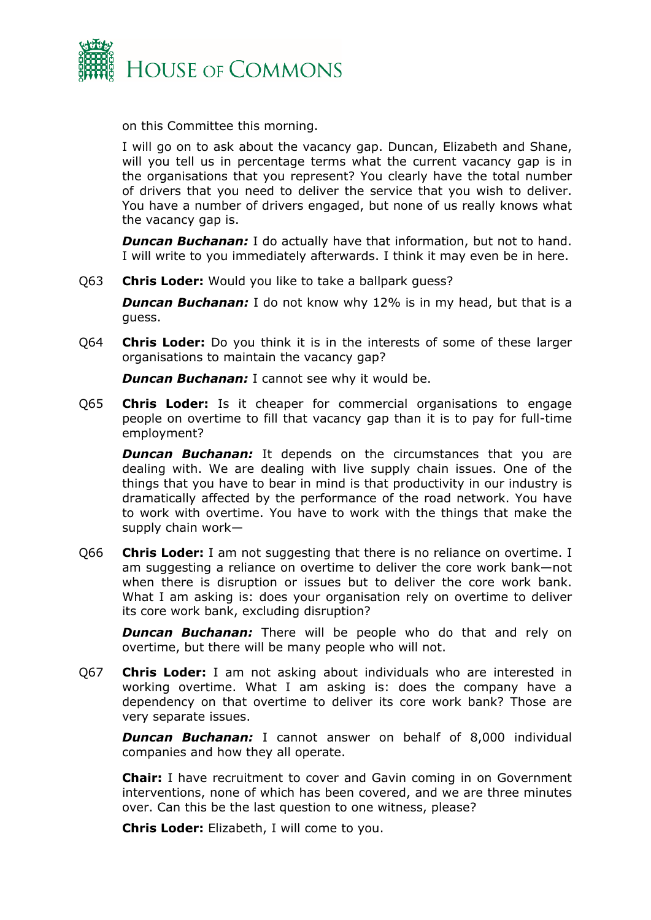

on this Committee this morning.

I will go on to ask about the vacancy gap. Duncan, Elizabeth and Shane, will you tell us in percentage terms what the current vacancy gap is in the organisations that you represent? You clearly have the total number of drivers that you need to deliver the service that you wish to deliver. You have a number of drivers engaged, but none of us really knows what the vacancy gap is.

*Duncan Buchanan:* I do actually have that information, but not to hand. I will write to you immediately afterwards. I think it may even be in here.

Q63 **Chris Loder:** Would you like to take a ballpark guess?

**Duncan Buchanan:** I do not know why 12% is in my head, but that is a guess.

Q64 **Chris Loder:** Do you think it is in the interests of some of these larger organisations to maintain the vacancy gap?

*Duncan Buchanan:* I cannot see why it would be.

Q65 **Chris Loder:** Is it cheaper for commercial organisations to engage people on overtime to fill that vacancy gap than it is to pay for full-time employment?

**Duncan Buchanan:** It depends on the circumstances that you are dealing with. We are dealing with live supply chain issues. One of the things that you have to bear in mind is that productivity in our industry is dramatically affected by the performance of the road network. You have to work with overtime. You have to work with the things that make the supply chain work—

Q66 **Chris Loder:** I am not suggesting that there is no reliance on overtime. I am suggesting a reliance on overtime to deliver the core work bank—not when there is disruption or issues but to deliver the core work bank. What I am asking is: does your organisation rely on overtime to deliver its core work bank, excluding disruption?

**Duncan Buchanan:** There will be people who do that and rely on overtime, but there will be many people who will not.

Q67 **Chris Loder:** I am not asking about individuals who are interested in working overtime. What I am asking is: does the company have a dependency on that overtime to deliver its core work bank? Those are very separate issues.

*Duncan Buchanan:* I cannot answer on behalf of 8,000 individual companies and how they all operate.

**Chair:** I have recruitment to cover and Gavin coming in on Government interventions, none of which has been covered, and we are three minutes over. Can this be the last question to one witness, please?

**Chris Loder:** Elizabeth, I will come to you.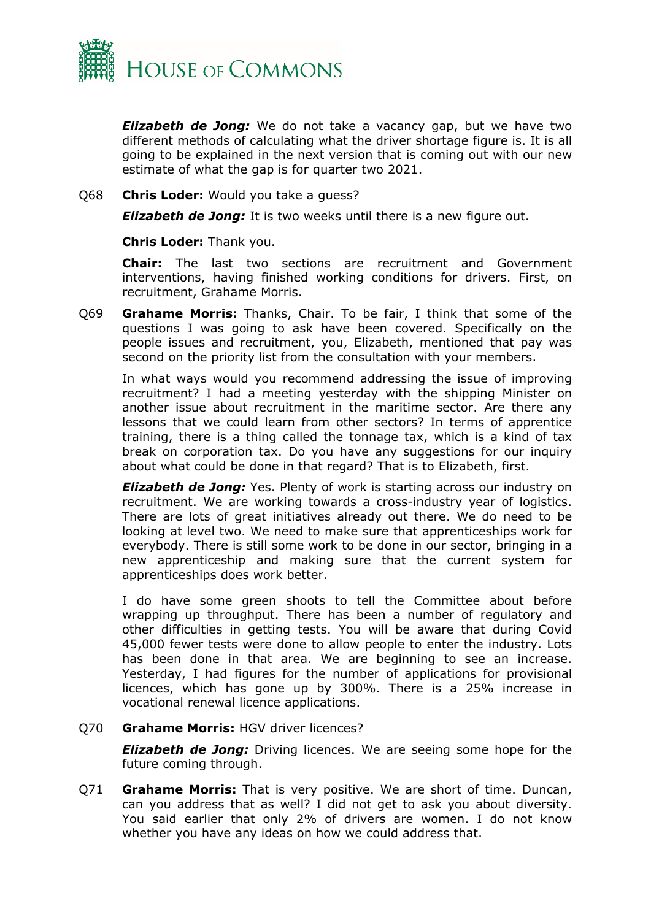

*Elizabeth de Jong:* We do not take a vacancy gap, but we have two different methods of calculating what the driver shortage figure is. It is all going to be explained in the next version that is coming out with our new estimate of what the gap is for quarter two 2021.

#### Q68 **Chris Loder:** Would you take a guess?

*Elizabeth de Jong:* It is two weeks until there is a new figure out.

**Chris Loder:** Thank you.

**Chair:** The last two sections are recruitment and Government interventions, having finished working conditions for drivers. First, on recruitment, Grahame Morris.

Q69 **Grahame Morris:** Thanks, Chair. To be fair, I think that some of the questions I was going to ask have been covered. Specifically on the people issues and recruitment, you, Elizabeth, mentioned that pay was second on the priority list from the consultation with your members.

In what ways would you recommend addressing the issue of improving recruitment? I had a meeting yesterday with the shipping Minister on another issue about recruitment in the maritime sector. Are there any lessons that we could learn from other sectors? In terms of apprentice training, there is a thing called the tonnage tax, which is a kind of tax break on corporation tax. Do you have any suggestions for our inquiry about what could be done in that regard? That is to Elizabeth, first.

*Elizabeth de Jong:* Yes. Plenty of work is starting across our industry on recruitment. We are working towards a cross-industry year of logistics. There are lots of great initiatives already out there. We do need to be looking at level two. We need to make sure that apprenticeships work for everybody. There is still some work to be done in our sector, bringing in a new apprenticeship and making sure that the current system for apprenticeships does work better.

I do have some green shoots to tell the Committee about before wrapping up throughput. There has been a number of regulatory and other difficulties in getting tests. You will be aware that during Covid 45,000 fewer tests were done to allow people to enter the industry. Lots has been done in that area. We are beginning to see an increase. Yesterday, I had figures for the number of applications for provisional licences, which has gone up by 300%. There is a 25% increase in vocational renewal licence applications.

Q70 **Grahame Morris:** HGV driver licences?

*Elizabeth de Jong:* Driving licences. We are seeing some hope for the future coming through.

Q71 **Grahame Morris:** That is very positive. We are short of time. Duncan, can you address that as well? I did not get to ask you about diversity. You said earlier that only 2% of drivers are women. I do not know whether you have any ideas on how we could address that.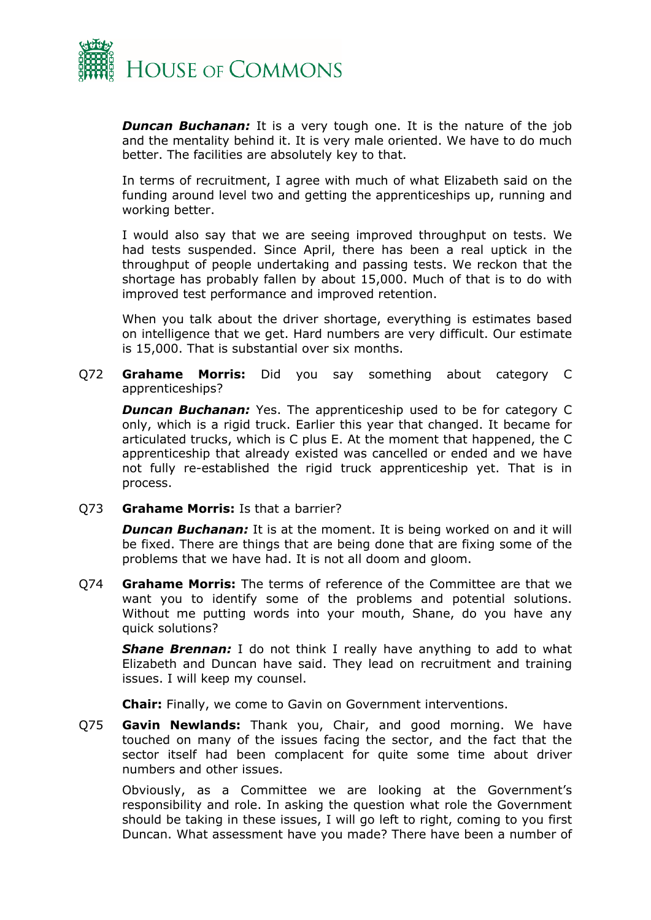

**Duncan Buchanan:** It is a very tough one. It is the nature of the job and the mentality behind it. It is very male oriented. We have to do much better. The facilities are absolutely key to that.

In terms of recruitment, I agree with much of what Elizabeth said on the funding around level two and getting the apprenticeships up, running and working better.

I would also say that we are seeing improved throughput on tests. We had tests suspended. Since April, there has been a real uptick in the throughput of people undertaking and passing tests. We reckon that the shortage has probably fallen by about 15,000. Much of that is to do with improved test performance and improved retention.

When you talk about the driver shortage, everything is estimates based on intelligence that we get. Hard numbers are very difficult. Our estimate is 15,000. That is substantial over six months.

Q72 **Grahame Morris:** Did you say something about category C apprenticeships?

**Duncan Buchanan:** Yes. The apprenticeship used to be for category C only, which is a rigid truck. Earlier this year that changed. It became for articulated trucks, which is C plus E. At the moment that happened, the C apprenticeship that already existed was cancelled or ended and we have not fully re-established the rigid truck apprenticeship yet. That is in process.

Q73 **Grahame Morris:** Is that a barrier?

*Duncan Buchanan:* It is at the moment. It is being worked on and it will be fixed. There are things that are being done that are fixing some of the problems that we have had. It is not all doom and gloom.

Q74 **Grahame Morris:** The terms of reference of the Committee are that we want you to identify some of the problems and potential solutions. Without me putting words into your mouth, Shane, do you have any quick solutions?

*Shane Brennan:* I do not think I really have anything to add to what Elizabeth and Duncan have said. They lead on recruitment and training issues. I will keep my counsel.

**Chair:** Finally, we come to Gavin on Government interventions.

Q75 **Gavin Newlands:** Thank you, Chair, and good morning. We have touched on many of the issues facing the sector, and the fact that the sector itself had been complacent for quite some time about driver numbers and other issues.

Obviously, as a Committee we are looking at the Government's responsibility and role. In asking the question what role the Government should be taking in these issues, I will go left to right, coming to you first Duncan. What assessment have you made? There have been a number of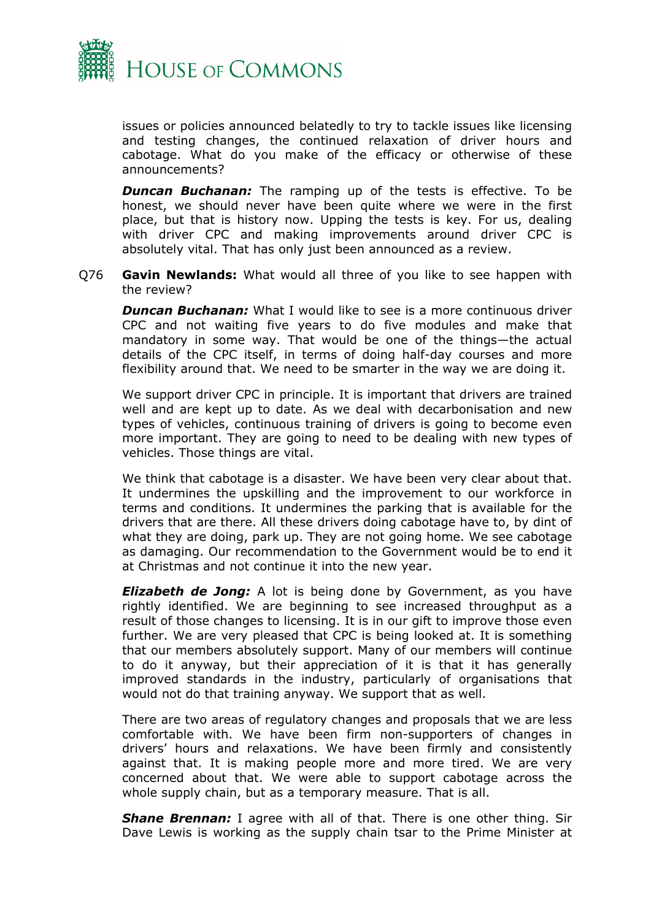

issues or policies announced belatedly to try to tackle issues like licensing and testing changes, the continued relaxation of driver hours and cabotage. What do you make of the efficacy or otherwise of these announcements?

**Duncan Buchanan:** The ramping up of the tests is effective. To be honest, we should never have been quite where we were in the first place, but that is history now. Upping the tests is key. For us, dealing with driver CPC and making improvements around driver CPC is absolutely vital. That has only just been announced as a review.

Q76 **Gavin Newlands:** What would all three of you like to see happen with the review?

*Duncan Buchanan:* What I would like to see is a more continuous driver CPC and not waiting five years to do five modules and make that mandatory in some way. That would be one of the things—the actual details of the CPC itself, in terms of doing half-day courses and more flexibility around that. We need to be smarter in the way we are doing it.

We support driver CPC in principle. It is important that drivers are trained well and are kept up to date. As we deal with decarbonisation and new types of vehicles, continuous training of drivers is going to become even more important. They are going to need to be dealing with new types of vehicles. Those things are vital.

We think that cabotage is a disaster. We have been very clear about that. It undermines the upskilling and the improvement to our workforce in terms and conditions. It undermines the parking that is available for the drivers that are there. All these drivers doing cabotage have to, by dint of what they are doing, park up. They are not going home. We see cabotage as damaging. Our recommendation to the Government would be to end it at Christmas and not continue it into the new year.

*Elizabeth de Jong:* A lot is being done by Government, as you have rightly identified. We are beginning to see increased throughput as a result of those changes to licensing. It is in our gift to improve those even further. We are very pleased that CPC is being looked at. It is something that our members absolutely support. Many of our members will continue to do it anyway, but their appreciation of it is that it has generally improved standards in the industry, particularly of organisations that would not do that training anyway. We support that as well.

There are two areas of regulatory changes and proposals that we are less comfortable with. We have been firm non-supporters of changes in drivers' hours and relaxations. We have been firmly and consistently against that. It is making people more and more tired. We are very concerned about that. We were able to support cabotage across the whole supply chain, but as a temporary measure. That is all.

**Shane Brennan:** I agree with all of that. There is one other thing. Sir Dave Lewis is working as the supply chain tsar to the Prime Minister at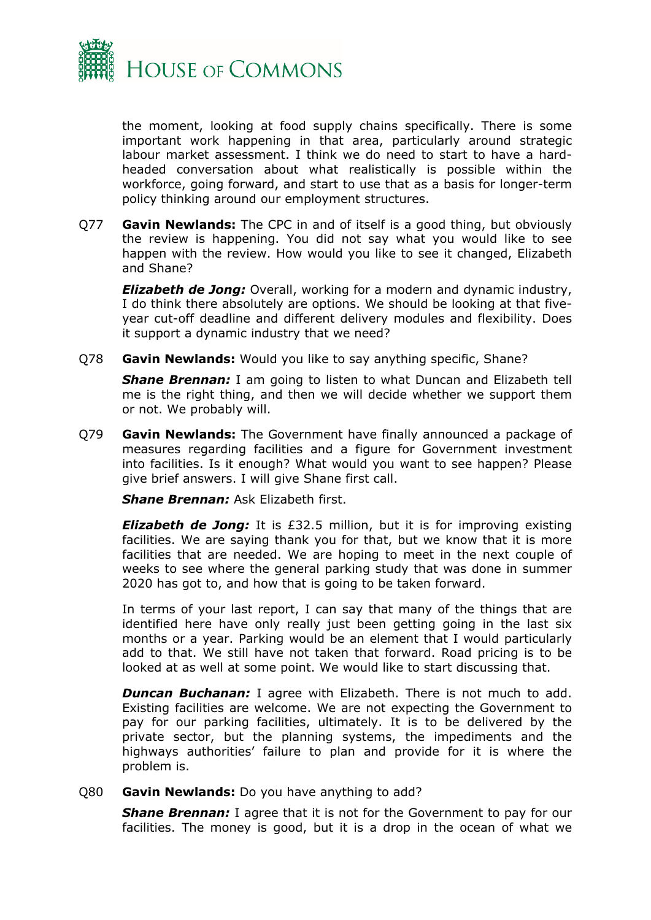

the moment, looking at food supply chains specifically. There is some important work happening in that area, particularly around strategic labour market assessment. I think we do need to start to have a hardheaded conversation about what realistically is possible within the workforce, going forward, and start to use that as a basis for longer-term policy thinking around our employment structures.

Q77 **Gavin Newlands:** The CPC in and of itself is a good thing, but obviously the review is happening. You did not say what you would like to see happen with the review. How would you like to see it changed, Elizabeth and Shane?

*Elizabeth de Jong:* Overall, working for a modern and dynamic industry, I do think there absolutely are options. We should be looking at that fiveyear cut-off deadline and different delivery modules and flexibility. Does it support a dynamic industry that we need?

Q78 **Gavin Newlands:** Would you like to say anything specific, Shane?

*Shane Brennan:* I am going to listen to what Duncan and Elizabeth tell me is the right thing, and then we will decide whether we support them or not. We probably will.

Q79 **Gavin Newlands:** The Government have finally announced a package of measures regarding facilities and a figure for Government investment into facilities. Is it enough? What would you want to see happen? Please give brief answers. I will give Shane first call.

*Shane Brennan:* Ask Elizabeth first.

*Elizabeth de Jong:* It is £32.5 million, but it is for improving existing facilities. We are saying thank you for that, but we know that it is more facilities that are needed. We are hoping to meet in the next couple of weeks to see where the general parking study that was done in summer 2020 has got to, and how that is going to be taken forward.

In terms of your last report, I can say that many of the things that are identified here have only really just been getting going in the last six months or a year. Parking would be an element that I would particularly add to that. We still have not taken that forward. Road pricing is to be looked at as well at some point. We would like to start discussing that.

**Duncan Buchanan:** I agree with Elizabeth. There is not much to add. Existing facilities are welcome. We are not expecting the Government to pay for our parking facilities, ultimately. It is to be delivered by the private sector, but the planning systems, the impediments and the highways authorities' failure to plan and provide for it is where the problem is.

# Q80 **Gavin Newlands:** Do you have anything to add?

**Shane Brennan:** I agree that it is not for the Government to pay for our facilities. The money is good, but it is a drop in the ocean of what we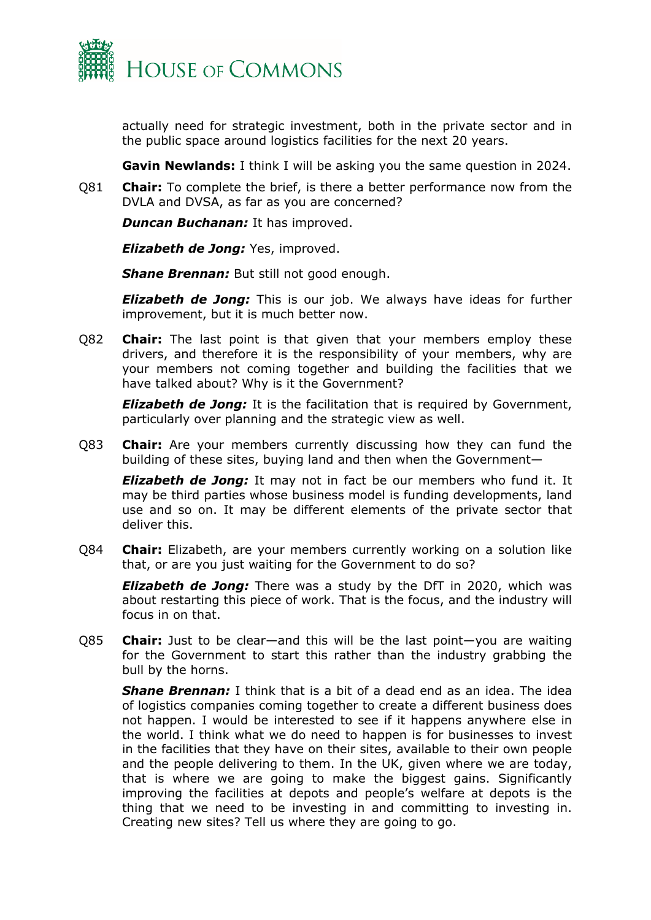

actually need for strategic investment, both in the private sector and in the public space around logistics facilities for the next 20 years.

**Gavin Newlands:** I think I will be asking you the same question in 2024.

Q81 **Chair:** To complete the brief, is there a better performance now from the DVLA and DVSA, as far as you are concerned?

*Duncan Buchanan:* It has improved.

*Elizabeth de Jong:* Yes, improved.

*Shane Brennan:* But still not good enough.

*Elizabeth de Jong:* This is our job. We always have ideas for further improvement, but it is much better now.

Q82 **Chair:** The last point is that given that your members employ these drivers, and therefore it is the responsibility of your members, why are your members not coming together and building the facilities that we have talked about? Why is it the Government?

*Elizabeth de Jong:* It is the facilitation that is required by Government, particularly over planning and the strategic view as well.

Q83 **Chair:** Are your members currently discussing how they can fund the building of these sites, buying land and then when the Government—

*Elizabeth de Jong:* It may not in fact be our members who fund it. It may be third parties whose business model is funding developments, land use and so on. It may be different elements of the private sector that deliver this.

Q84 **Chair:** Elizabeth, are your members currently working on a solution like that, or are you just waiting for the Government to do so?

*Elizabeth de Jong:* There was a study by the DfT in 2020, which was about restarting this piece of work. That is the focus, and the industry will focus in on that.

Q85 **Chair:** Just to be clear—and this will be the last point—you are waiting for the Government to start this rather than the industry grabbing the bull by the horns.

*Shane Brennan:* I think that is a bit of a dead end as an idea. The idea of logistics companies coming together to create a different business does not happen. I would be interested to see if it happens anywhere else in the world. I think what we do need to happen is for businesses to invest in the facilities that they have on their sites, available to their own people and the people delivering to them. In the UK, given where we are today, that is where we are going to make the biggest gains. Significantly improving the facilities at depots and people's welfare at depots is the thing that we need to be investing in and committing to investing in. Creating new sites? Tell us where they are going to go.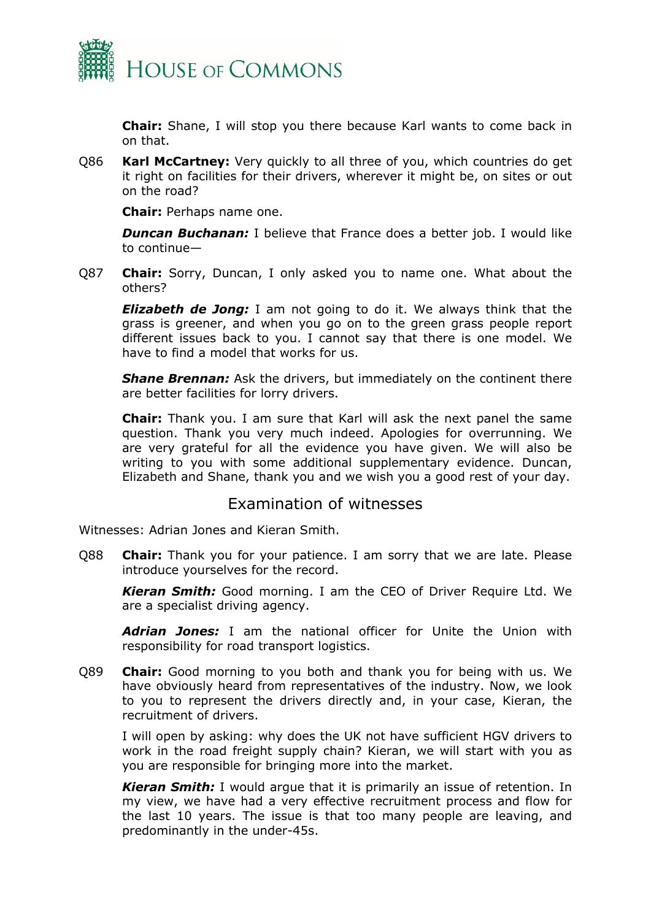

**Chair:** Shane, I will stop you there because Karl wants to come back in on that.

Q86 **Karl McCartney:** Very quickly to all three of you, which countries do get it right on facilities for their drivers, wherever it might be, on sites or out on the road?

**Chair:** Perhaps name one.

*Duncan Buchanan:* I believe that France does a better job. I would like to continue—

Q87 **Chair:** Sorry, Duncan, I only asked you to name one. What about the others?

*Elizabeth de Jong:* I am not going to do it. We always think that the grass is greener, and when you go on to the green grass people report different issues back to you. I cannot say that there is one model. We have to find a model that works for us.

*Shane Brennan:* Ask the drivers, but immediately on the continent there are better facilities for lorry drivers.

**Chair:** Thank you. I am sure that Karl will ask the next panel the same question. Thank you very much indeed. Apologies for overrunning. We are very grateful for all the evidence you have given. We will also be writing to you with some additional supplementary evidence. Duncan, Elizabeth and Shane, thank you and we wish you a good rest of your day.

# <span id="page-28-0"></span>Examination of witnesses

Witnesses: Adrian Jones and Kieran Smith.

Q88 **Chair:** Thank you for your patience. I am sorry that we are late. Please introduce yourselves for the record.

*Kieran Smith:* Good morning. I am the CEO of Driver Require Ltd. We are a specialist driving agency.

*Adrian Jones:* I am the national officer for Unite the Union with responsibility for road transport logistics.

Q89 **Chair:** Good morning to you both and thank you for being with us. We have obviously heard from representatives of the industry. Now, we look to you to represent the drivers directly and, in your case, Kieran, the recruitment of drivers.

I will open by asking: why does the UK not have sufficient HGV drivers to work in the road freight supply chain? Kieran, we will start with you as you are responsible for bringing more into the market.

*Kieran Smith:* I would argue that it is primarily an issue of retention. In my view, we have had a very effective recruitment process and flow for the last 10 years. The issue is that too many people are leaving, and predominantly in the under-45s.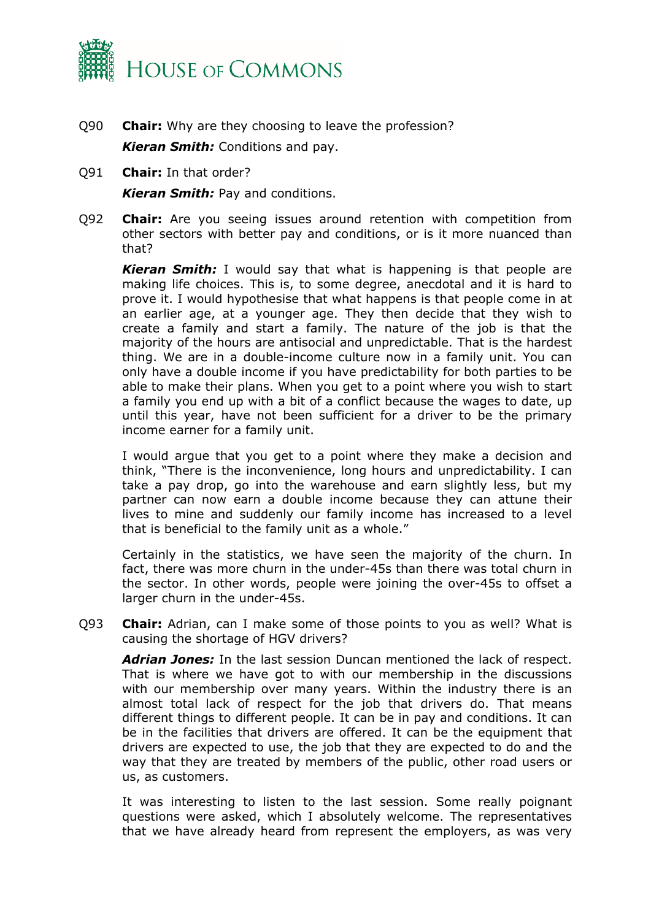

- Q90 **Chair:** Why are they choosing to leave the profession? *Kieran Smith:* Conditions and pay.
- Q91 **Chair:** In that order?

*Kieran Smith:* Pay and conditions.

Q92 **Chair:** Are you seeing issues around retention with competition from other sectors with better pay and conditions, or is it more nuanced than that?

*Kieran Smith:* I would say that what is happening is that people are making life choices. This is, to some degree, anecdotal and it is hard to prove it. I would hypothesise that what happens is that people come in at an earlier age, at a younger age. They then decide that they wish to create a family and start a family. The nature of the job is that the majority of the hours are antisocial and unpredictable. That is the hardest thing. We are in a double-income culture now in a family unit. You can only have a double income if you have predictability for both parties to be able to make their plans. When you get to a point where you wish to start a family you end up with a bit of a conflict because the wages to date, up until this year, have not been sufficient for a driver to be the primary income earner for a family unit.

I would argue that you get to a point where they make a decision and think, "There is the inconvenience, long hours and unpredictability. I can take a pay drop, go into the warehouse and earn slightly less, but my partner can now earn a double income because they can attune their lives to mine and suddenly our family income has increased to a level that is beneficial to the family unit as a whole."

Certainly in the statistics, we have seen the majority of the churn. In fact, there was more churn in the under-45s than there was total churn in the sector. In other words, people were joining the over-45s to offset a larger churn in the under-45s.

Q93 **Chair:** Adrian, can I make some of those points to you as well? What is causing the shortage of HGV drivers?

*Adrian Jones:* In the last session Duncan mentioned the lack of respect. That is where we have got to with our membership in the discussions with our membership over many years. Within the industry there is an almost total lack of respect for the job that drivers do. That means different things to different people. It can be in pay and conditions. It can be in the facilities that drivers are offered. It can be the equipment that drivers are expected to use, the job that they are expected to do and the way that they are treated by members of the public, other road users or us, as customers.

It was interesting to listen to the last session. Some really poignant questions were asked, which I absolutely welcome. The representatives that we have already heard from represent the employers, as was very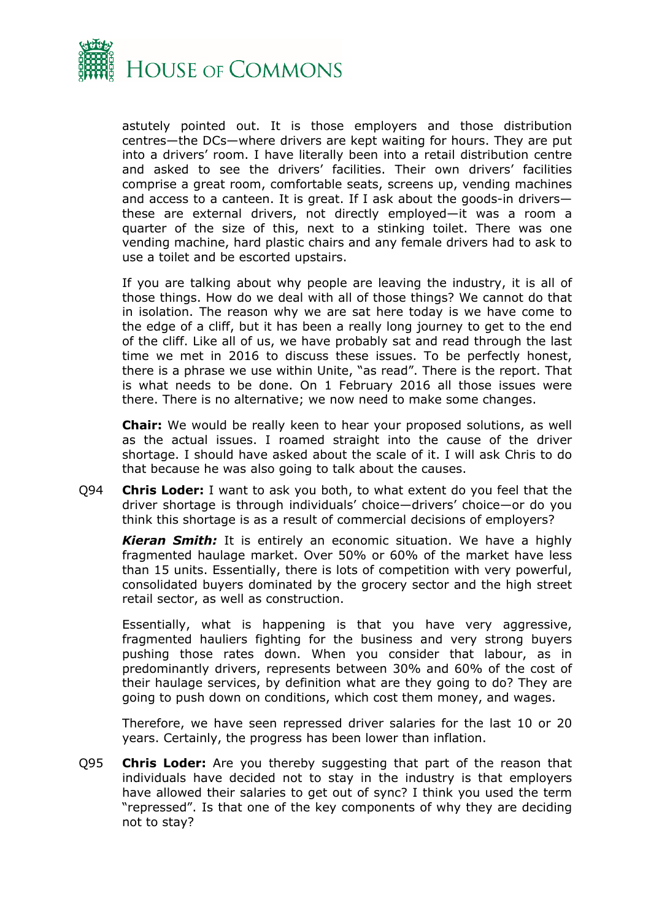

astutely pointed out. It is those employers and those distribution centres—the DCs—where drivers are kept waiting for hours. They are put into a drivers' room. I have literally been into a retail distribution centre and asked to see the drivers' facilities. Their own drivers' facilities comprise a great room, comfortable seats, screens up, vending machines and access to a canteen. It is great. If I ask about the goods-in drivers these are external drivers, not directly employed—it was a room a quarter of the size of this, next to a stinking toilet. There was one vending machine, hard plastic chairs and any female drivers had to ask to use a toilet and be escorted upstairs.

If you are talking about why people are leaving the industry, it is all of those things. How do we deal with all of those things? We cannot do that in isolation. The reason why we are sat here today is we have come to the edge of a cliff, but it has been a really long journey to get to the end of the cliff. Like all of us, we have probably sat and read through the last time we met in 2016 to discuss these issues. To be perfectly honest, there is a phrase we use within Unite, "as read". There is the report. That is what needs to be done. On 1 February 2016 all those issues were there. There is no alternative; we now need to make some changes.

**Chair:** We would be really keen to hear your proposed solutions, as well as the actual issues. I roamed straight into the cause of the driver shortage. I should have asked about the scale of it. I will ask Chris to do that because he was also going to talk about the causes.

Q94 **Chris Loder:** I want to ask you both, to what extent do you feel that the driver shortage is through individuals' choice—drivers' choice—or do you think this shortage is as a result of commercial decisions of employers?

*Kieran Smith:* It is entirely an economic situation. We have a highly fragmented haulage market. Over 50% or 60% of the market have less than 15 units. Essentially, there is lots of competition with very powerful, consolidated buyers dominated by the grocery sector and the high street retail sector, as well as construction.

Essentially, what is happening is that you have very aggressive, fragmented hauliers fighting for the business and very strong buyers pushing those rates down. When you consider that labour, as in predominantly drivers, represents between 30% and 60% of the cost of their haulage services, by definition what are they going to do? They are going to push down on conditions, which cost them money, and wages.

Therefore, we have seen repressed driver salaries for the last 10 or 20 years. Certainly, the progress has been lower than inflation.

Q95 **Chris Loder:** Are you thereby suggesting that part of the reason that individuals have decided not to stay in the industry is that employers have allowed their salaries to get out of sync? I think you used the term "repressed". Is that one of the key components of why they are deciding not to stay?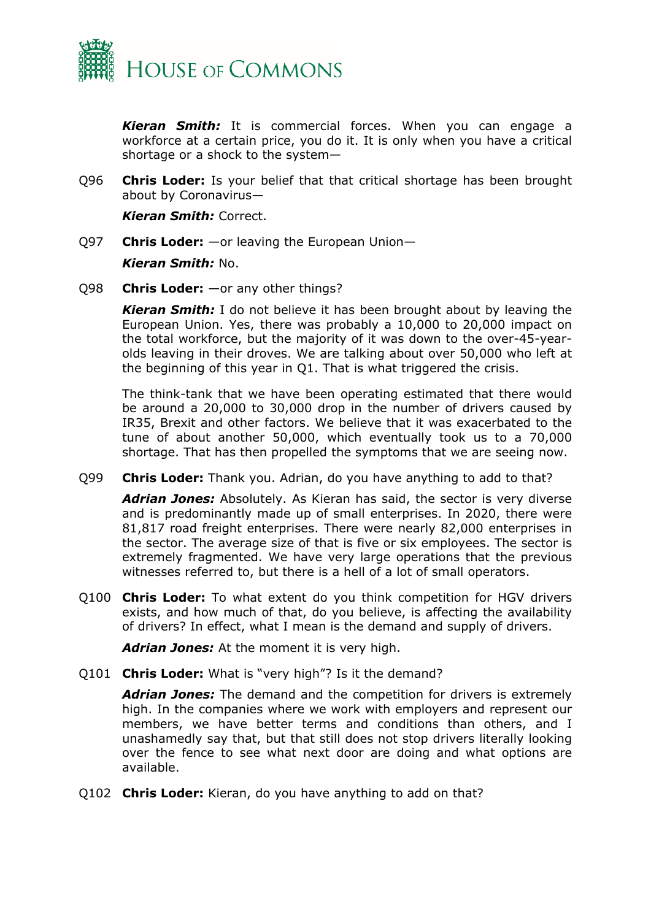

*Kieran Smith:* It is commercial forces. When you can engage a workforce at a certain price, you do it. It is only when you have a critical shortage or a shock to the system—

Q96 **Chris Loder:** Is your belief that that critical shortage has been brought about by Coronavirus—

*Kieran Smith:* Correct.

- Q97 **Chris Loder:** —or leaving the European Union— *Kieran Smith:* No.
- Q98 **Chris Loder:** —or any other things?

*Kieran Smith:* I do not believe it has been brought about by leaving the European Union. Yes, there was probably a 10,000 to 20,000 impact on the total workforce, but the majority of it was down to the over-45-yearolds leaving in their droves. We are talking about over 50,000 who left at the beginning of this year in Q1. That is what triggered the crisis.

The think-tank that we have been operating estimated that there would be around a 20,000 to 30,000 drop in the number of drivers caused by IR35, Brexit and other factors. We believe that it was exacerbated to the tune of about another 50,000, which eventually took us to a 70,000 shortage. That has then propelled the symptoms that we are seeing now.

Q99 **Chris Loder:** Thank you. Adrian, do you have anything to add to that?

*Adrian Jones:* Absolutely. As Kieran has said, the sector is very diverse and is predominantly made up of small enterprises. In 2020, there were 81,817 road freight enterprises. There were nearly 82,000 enterprises in the sector. The average size of that is five or six employees. The sector is extremely fragmented. We have very large operations that the previous witnesses referred to, but there is a hell of a lot of small operators.

Q100 **Chris Loder:** To what extent do you think competition for HGV drivers exists, and how much of that, do you believe, is affecting the availability of drivers? In effect, what I mean is the demand and supply of drivers.

*Adrian Jones:* At the moment it is very high.

Q101 **Chris Loder:** What is "very high"? Is it the demand?

*Adrian Jones:* The demand and the competition for drivers is extremely high. In the companies where we work with employers and represent our members, we have better terms and conditions than others, and I unashamedly say that, but that still does not stop drivers literally looking over the fence to see what next door are doing and what options are available.

Q102 **Chris Loder:** Kieran, do you have anything to add on that?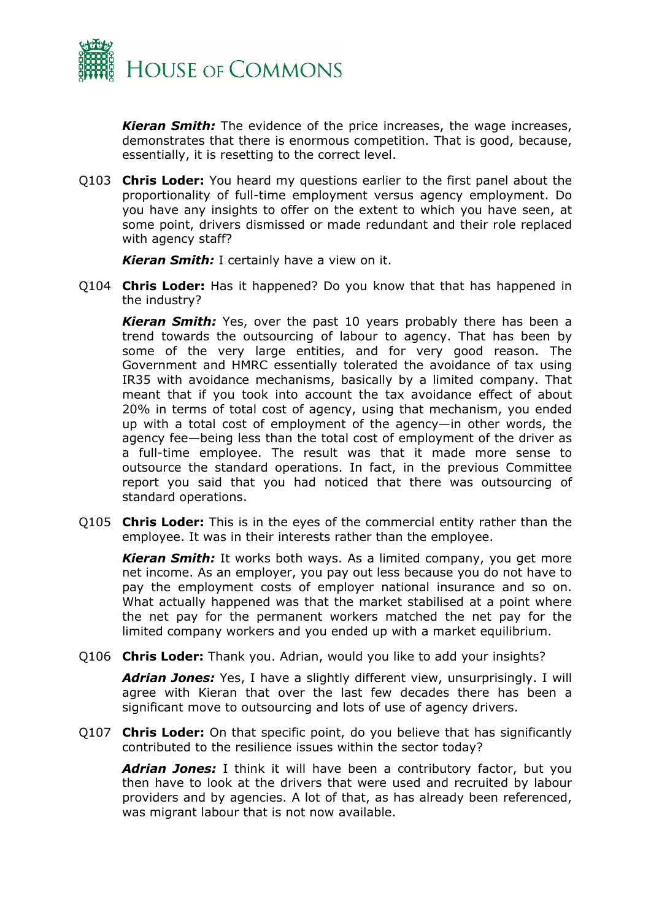

*Kieran Smith:* The evidence of the price increases, the wage increases, demonstrates that there is enormous competition. That is good, because, essentially, it is resetting to the correct level.

Q103 **Chris Loder:** You heard my questions earlier to the first panel about the proportionality of full-time employment versus agency employment. Do you have any insights to offer on the extent to which you have seen, at some point, drivers dismissed or made redundant and their role replaced with agency staff?

*Kieran Smith:* I certainly have a view on it.

Q104 **Chris Loder:** Has it happened? Do you know that that has happened in the industry?

*Kieran Smith:* Yes, over the past 10 years probably there has been a trend towards the outsourcing of labour to agency. That has been by some of the very large entities, and for very good reason. The Government and HMRC essentially tolerated the avoidance of tax using IR35 with avoidance mechanisms, basically by a limited company. That meant that if you took into account the tax avoidance effect of about 20% in terms of total cost of agency, using that mechanism, you ended up with a total cost of employment of the agency—in other words, the agency fee—being less than the total cost of employment of the driver as a full-time employee. The result was that it made more sense to outsource the standard operations. In fact, in the previous Committee report you said that you had noticed that there was outsourcing of standard operations.

Q105 **Chris Loder:** This is in the eyes of the commercial entity rather than the employee. It was in their interests rather than the employee.

*Kieran Smith:* It works both ways. As a limited company, you get more net income. As an employer, you pay out less because you do not have to pay the employment costs of employer national insurance and so on. What actually happened was that the market stabilised at a point where the net pay for the permanent workers matched the net pay for the limited company workers and you ended up with a market equilibrium.

Q106 **Chris Loder:** Thank you. Adrian, would you like to add your insights?

*Adrian Jones:* Yes, I have a slightly different view, unsurprisingly. I will agree with Kieran that over the last few decades there has been a significant move to outsourcing and lots of use of agency drivers.

Q107 **Chris Loder:** On that specific point, do you believe that has significantly contributed to the resilience issues within the sector today?

*Adrian Jones:* I think it will have been a contributory factor, but you then have to look at the drivers that were used and recruited by labour providers and by agencies. A lot of that, as has already been referenced, was migrant labour that is not now available.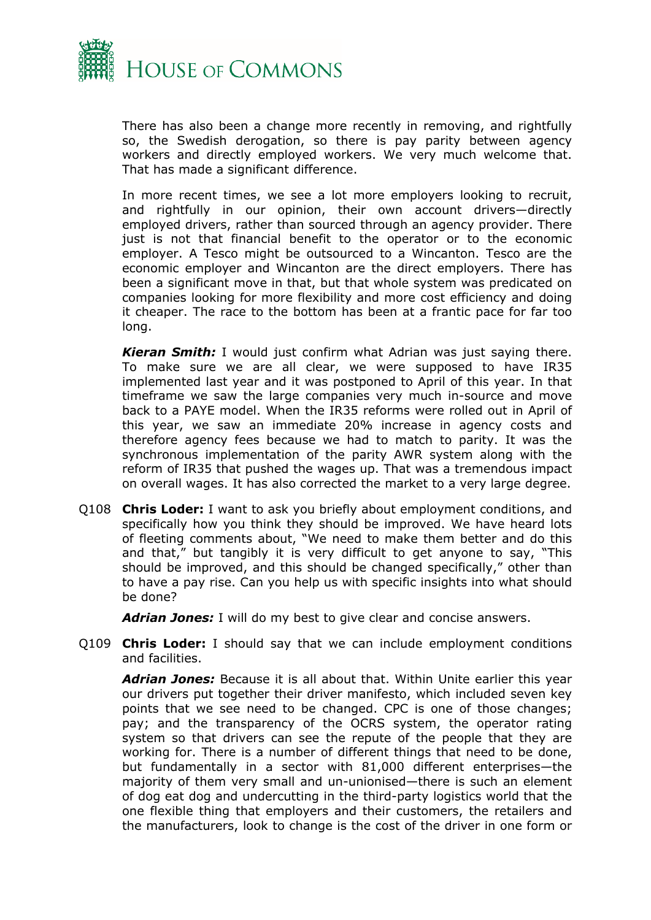

There has also been a change more recently in removing, and rightfully so, the Swedish derogation, so there is pay parity between agency workers and directly employed workers. We very much welcome that. That has made a significant difference.

In more recent times, we see a lot more employers looking to recruit, and rightfully in our opinion, their own account drivers—directly employed drivers, rather than sourced through an agency provider. There just is not that financial benefit to the operator or to the economic employer. A Tesco might be outsourced to a Wincanton. Tesco are the economic employer and Wincanton are the direct employers. There has been a significant move in that, but that whole system was predicated on companies looking for more flexibility and more cost efficiency and doing it cheaper. The race to the bottom has been at a frantic pace for far too long.

*Kieran Smith:* I would just confirm what Adrian was just saying there. To make sure we are all clear, we were supposed to have IR35 implemented last year and it was postponed to April of this year. In that timeframe we saw the large companies very much in-source and move back to a PAYE model. When the IR35 reforms were rolled out in April of this year, we saw an immediate 20% increase in agency costs and therefore agency fees because we had to match to parity. It was the synchronous implementation of the parity AWR system along with the reform of IR35 that pushed the wages up. That was a tremendous impact on overall wages. It has also corrected the market to a very large degree.

Q108 **Chris Loder:** I want to ask you briefly about employment conditions, and specifically how you think they should be improved. We have heard lots of fleeting comments about, "We need to make them better and do this and that," but tangibly it is very difficult to get anyone to say, "This should be improved, and this should be changed specifically," other than to have a pay rise. Can you help us with specific insights into what should be done?

*Adrian Jones:* I will do my best to give clear and concise answers.

Q109 **Chris Loder:** I should say that we can include employment conditions and facilities.

*Adrian Jones:* Because it is all about that. Within Unite earlier this year our drivers put together their driver manifesto, which included seven key points that we see need to be changed. CPC is one of those changes; pay; and the transparency of the OCRS system, the operator rating system so that drivers can see the repute of the people that they are working for. There is a number of different things that need to be done, but fundamentally in a sector with 81,000 different enterprises—the majority of them very small and un-unionised—there is such an element of dog eat dog and undercutting in the third-party logistics world that the one flexible thing that employers and their customers, the retailers and the manufacturers, look to change is the cost of the driver in one form or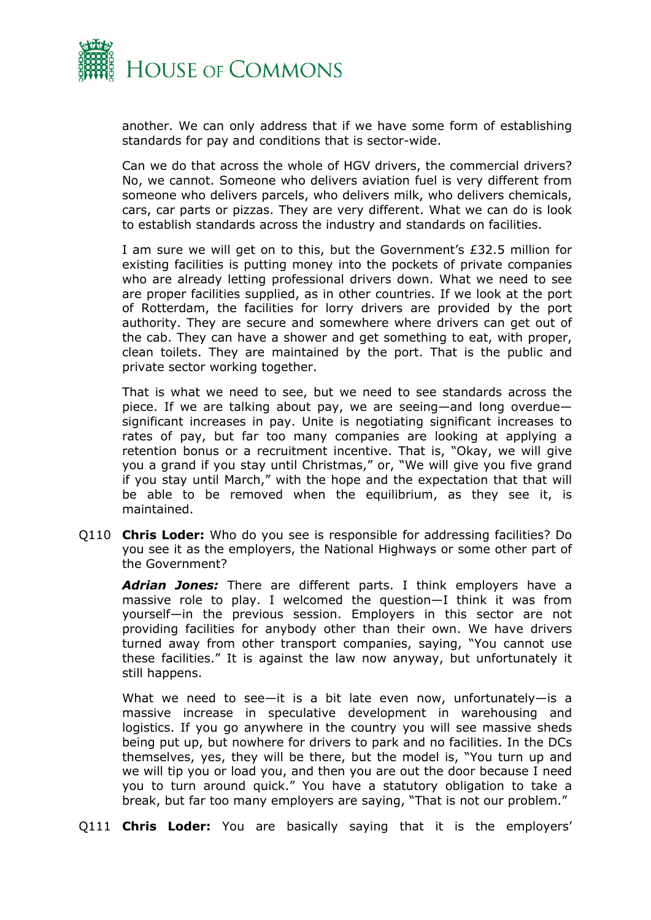

another. We can only address that if we have some form of establishing standards for pay and conditions that is sector-wide.

Can we do that across the whole of HGV drivers, the commercial drivers? No, we cannot. Someone who delivers aviation fuel is very different from someone who delivers parcels, who delivers milk, who delivers chemicals, cars, car parts or pizzas. They are very different. What we can do is look to establish standards across the industry and standards on facilities.

I am sure we will get on to this, but the Government's £32.5 million for existing facilities is putting money into the pockets of private companies who are already letting professional drivers down. What we need to see are proper facilities supplied, as in other countries. If we look at the port of Rotterdam, the facilities for lorry drivers are provided by the port authority. They are secure and somewhere where drivers can get out of the cab. They can have a shower and get something to eat, with proper, clean toilets. They are maintained by the port. That is the public and private sector working together.

That is what we need to see, but we need to see standards across the piece. If we are talking about pay, we are seeing—and long overdue significant increases in pay. Unite is negotiating significant increases to rates of pay, but far too many companies are looking at applying a retention bonus or a recruitment incentive. That is, "Okay, we will give you a grand if you stay until Christmas," or, "We will give you five grand if you stay until March," with the hope and the expectation that that will be able to be removed when the equilibrium, as they see it, is maintained.

Q110 **Chris Loder:** Who do you see is responsible for addressing facilities? Do you see it as the employers, the National Highways or some other part of the Government?

*Adrian Jones:* There are different parts. I think employers have a massive role to play. I welcomed the question—I think it was from yourself—in the previous session. Employers in this sector are not providing facilities for anybody other than their own. We have drivers turned away from other transport companies, saying, "You cannot use these facilities." It is against the law now anyway, but unfortunately it still happens.

What we need to see—it is a bit late even now, unfortunately—is a massive increase in speculative development in warehousing and logistics. If you go anywhere in the country you will see massive sheds being put up, but nowhere for drivers to park and no facilities. In the DCs themselves, yes, they will be there, but the model is, "You turn up and we will tip you or load you, and then you are out the door because I need you to turn around quick." You have a statutory obligation to take a break, but far too many employers are saying, "That is not our problem."

Q111 **Chris Loder:** You are basically saying that it is the employers'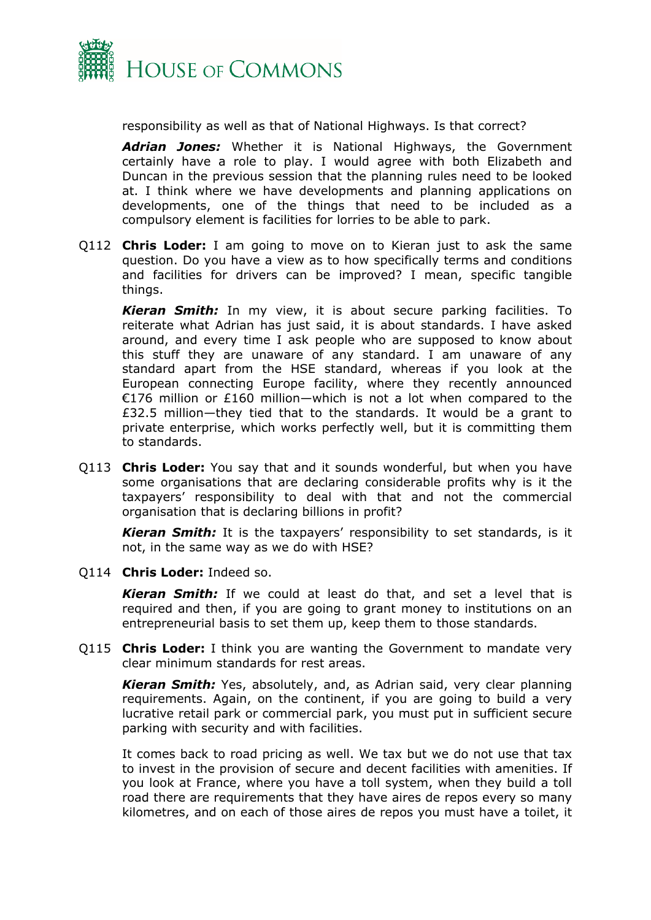

responsibility as well as that of National Highways. Is that correct?

*Adrian Jones:* Whether it is National Highways, the Government certainly have a role to play. I would agree with both Elizabeth and Duncan in the previous session that the planning rules need to be looked at. I think where we have developments and planning applications on developments, one of the things that need to be included as a compulsory element is facilities for lorries to be able to park.

Q112 **Chris Loder:** I am going to move on to Kieran just to ask the same question. Do you have a view as to how specifically terms and conditions and facilities for drivers can be improved? I mean, specific tangible things.

*Kieran Smith:* In my view, it is about secure parking facilities. To reiterate what Adrian has just said, it is about standards. I have asked around, and every time I ask people who are supposed to know about this stuff they are unaware of any standard. I am unaware of any standard apart from the HSE standard, whereas if you look at the European connecting Europe facility, where they recently announced €176 million or £160 million—which is not a lot when compared to the £32.5 million—they tied that to the standards. It would be a grant to private enterprise, which works perfectly well, but it is committing them to standards.

Q113 **Chris Loder:** You say that and it sounds wonderful, but when you have some organisations that are declaring considerable profits why is it the taxpayers' responsibility to deal with that and not the commercial organisation that is declaring billions in profit?

*Kieran Smith:* It is the taxpayers' responsibility to set standards, is it not, in the same way as we do with HSE?

Q114 **Chris Loder:** Indeed so.

*Kieran Smith:* If we could at least do that, and set a level that is required and then, if you are going to grant money to institutions on an entrepreneurial basis to set them up, keep them to those standards.

Q115 **Chris Loder:** I think you are wanting the Government to mandate very clear minimum standards for rest areas.

*Kieran Smith:* Yes, absolutely, and, as Adrian said, very clear planning requirements. Again, on the continent, if you are going to build a very lucrative retail park or commercial park, you must put in sufficient secure parking with security and with facilities.

It comes back to road pricing as well. We tax but we do not use that tax to invest in the provision of secure and decent facilities with amenities. If you look at France, where you have a toll system, when they build a toll road there are requirements that they have aires de repos every so many kilometres, and on each of those aires de repos you must have a toilet, it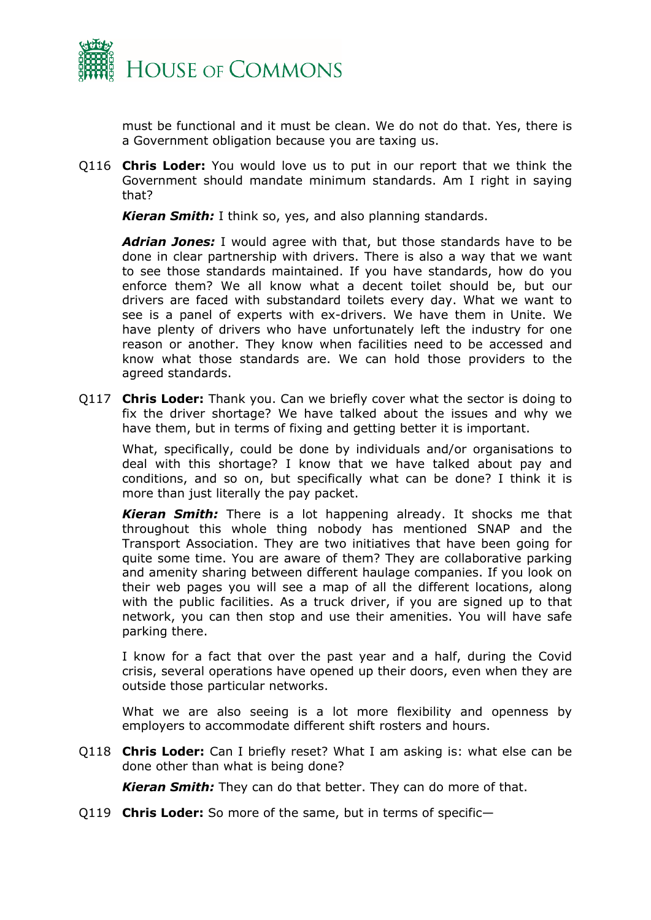

must be functional and it must be clean. We do not do that. Yes, there is a Government obligation because you are taxing us.

Q116 **Chris Loder:** You would love us to put in our report that we think the Government should mandate minimum standards. Am I right in saying that?

*Kieran Smith:* I think so, yes, and also planning standards.

*Adrian Jones:* I would agree with that, but those standards have to be done in clear partnership with drivers. There is also a way that we want to see those standards maintained. If you have standards, how do you enforce them? We all know what a decent toilet should be, but our drivers are faced with substandard toilets every day. What we want to see is a panel of experts with ex-drivers. We have them in Unite. We have plenty of drivers who have unfortunately left the industry for one reason or another. They know when facilities need to be accessed and know what those standards are. We can hold those providers to the agreed standards.

Q117 **Chris Loder:** Thank you. Can we briefly cover what the sector is doing to fix the driver shortage? We have talked about the issues and why we have them, but in terms of fixing and getting better it is important.

What, specifically, could be done by individuals and/or organisations to deal with this shortage? I know that we have talked about pay and conditions, and so on, but specifically what can be done? I think it is more than just literally the pay packet.

*Kieran Smith:* There is a lot happening already. It shocks me that throughout this whole thing nobody has mentioned SNAP and the Transport Association. They are two initiatives that have been going for quite some time. You are aware of them? They are collaborative parking and amenity sharing between different haulage companies. If you look on their web pages you will see a map of all the different locations, along with the public facilities. As a truck driver, if you are signed up to that network, you can then stop and use their amenities. You will have safe parking there.

I know for a fact that over the past year and a half, during the Covid crisis, several operations have opened up their doors, even when they are outside those particular networks.

What we are also seeing is a lot more flexibility and openness by employers to accommodate different shift rosters and hours.

Q118 **Chris Loder:** Can I briefly reset? What I am asking is: what else can be done other than what is being done?

*Kieran Smith:* They can do that better. They can do more of that.

Q119 **Chris Loder:** So more of the same, but in terms of specific—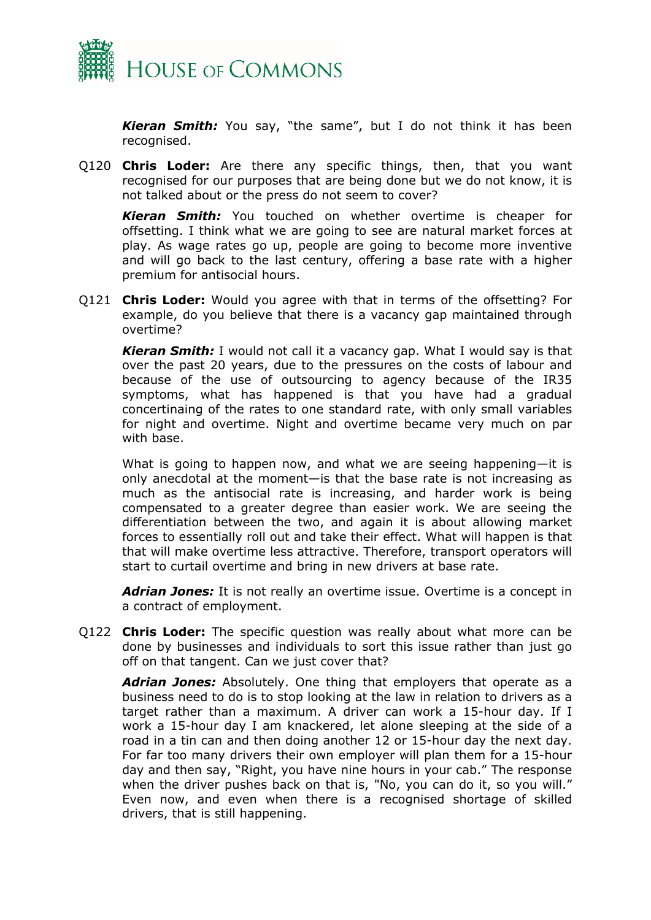

*Kieran Smith:* You say, "the same", but I do not think it has been recognised.

Q120 **Chris Loder:** Are there any specific things, then, that you want recognised for our purposes that are being done but we do not know, it is not talked about or the press do not seem to cover?

*Kieran Smith:* You touched on whether overtime is cheaper for offsetting. I think what we are going to see are natural market forces at play. As wage rates go up, people are going to become more inventive and will go back to the last century, offering a base rate with a higher premium for antisocial hours.

Q121 **Chris Loder:** Would you agree with that in terms of the offsetting? For example, do you believe that there is a vacancy gap maintained through overtime?

*Kieran Smith:* I would not call it a vacancy gap. What I would say is that over the past 20 years, due to the pressures on the costs of labour and because of the use of outsourcing to agency because of the IR35 symptoms, what has happened is that you have had a gradual concertinaing of the rates to one standard rate, with only small variables for night and overtime. Night and overtime became very much on par with base.

What is going to happen now, and what we are seeing happening—it is only anecdotal at the moment—is that the base rate is not increasing as much as the antisocial rate is increasing, and harder work is being compensated to a greater degree than easier work. We are seeing the differentiation between the two, and again it is about allowing market forces to essentially roll out and take their effect. What will happen is that that will make overtime less attractive. Therefore, transport operators will start to curtail overtime and bring in new drivers at base rate.

*Adrian Jones:* It is not really an overtime issue. Overtime is a concept in a contract of employment.

Q122 **Chris Loder:** The specific question was really about what more can be done by businesses and individuals to sort this issue rather than just go off on that tangent. Can we just cover that?

*Adrian Jones:* Absolutely. One thing that employers that operate as a business need to do is to stop looking at the law in relation to drivers as a target rather than a maximum. A driver can work a 15-hour day. If I work a 15-hour day I am knackered, let alone sleeping at the side of a road in a tin can and then doing another 12 or 15-hour day the next day. For far too many drivers their own employer will plan them for a 15-hour day and then say, "Right, you have nine hours in your cab." The response when the driver pushes back on that is, "No, you can do it, so you will." Even now, and even when there is a recognised shortage of skilled drivers, that is still happening.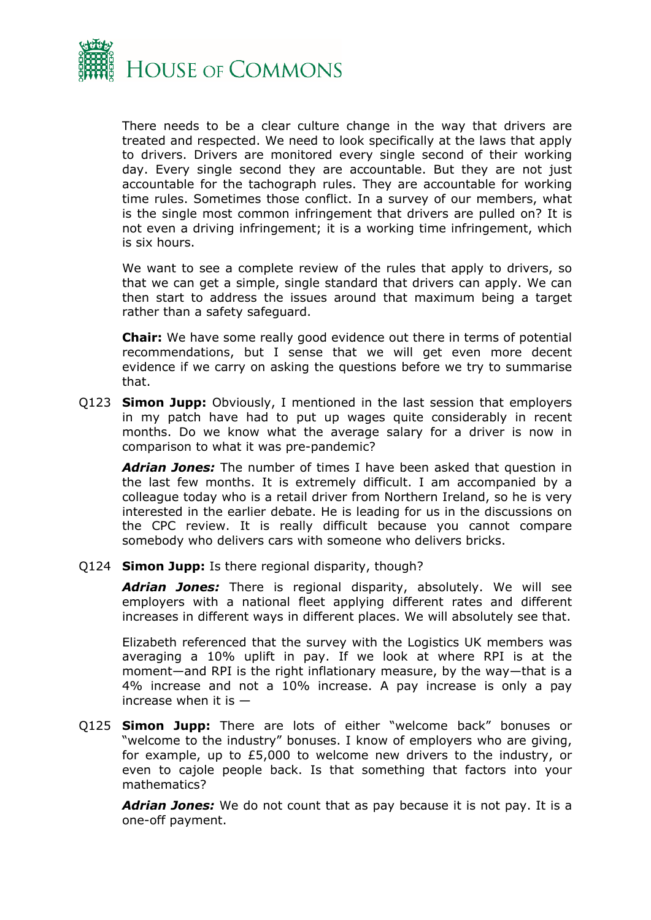

There needs to be a clear culture change in the way that drivers are treated and respected. We need to look specifically at the laws that apply to drivers. Drivers are monitored every single second of their working day. Every single second they are accountable. But they are not just accountable for the tachograph rules. They are accountable for working time rules. Sometimes those conflict. In a survey of our members, what is the single most common infringement that drivers are pulled on? It is not even a driving infringement; it is a working time infringement, which is six hours.

We want to see a complete review of the rules that apply to drivers, so that we can get a simple, single standard that drivers can apply. We can then start to address the issues around that maximum being a target rather than a safety safeguard.

**Chair:** We have some really good evidence out there in terms of potential recommendations, but I sense that we will get even more decent evidence if we carry on asking the questions before we try to summarise that.

Q123 **Simon Jupp:** Obviously, I mentioned in the last session that employers in my patch have had to put up wages quite considerably in recent months. Do we know what the average salary for a driver is now in comparison to what it was pre-pandemic?

*Adrian Jones:* The number of times I have been asked that question in the last few months. It is extremely difficult. I am accompanied by a colleague today who is a retail driver from Northern Ireland, so he is very interested in the earlier debate. He is leading for us in the discussions on the CPC review. It is really difficult because you cannot compare somebody who delivers cars with someone who delivers bricks.

Q124 **Simon Jupp:** Is there regional disparity, though?

*Adrian Jones:* There is regional disparity, absolutely. We will see employers with a national fleet applying different rates and different increases in different ways in different places. We will absolutely see that.

Elizabeth referenced that the survey with the Logistics UK members was averaging a 10% uplift in pay. If we look at where RPI is at the moment—and RPI is the right inflationary measure, by the way—that is a 4% increase and not a 10% increase. A pay increase is only a pay increase when it is  $-$ 

Q125 **Simon Jupp:** There are lots of either "welcome back" bonuses or "welcome to the industry" bonuses. I know of employers who are giving, for example, up to £5,000 to welcome new drivers to the industry, or even to cajole people back. Is that something that factors into your mathematics?

*Adrian Jones:* We do not count that as pay because it is not pay. It is a one-off payment.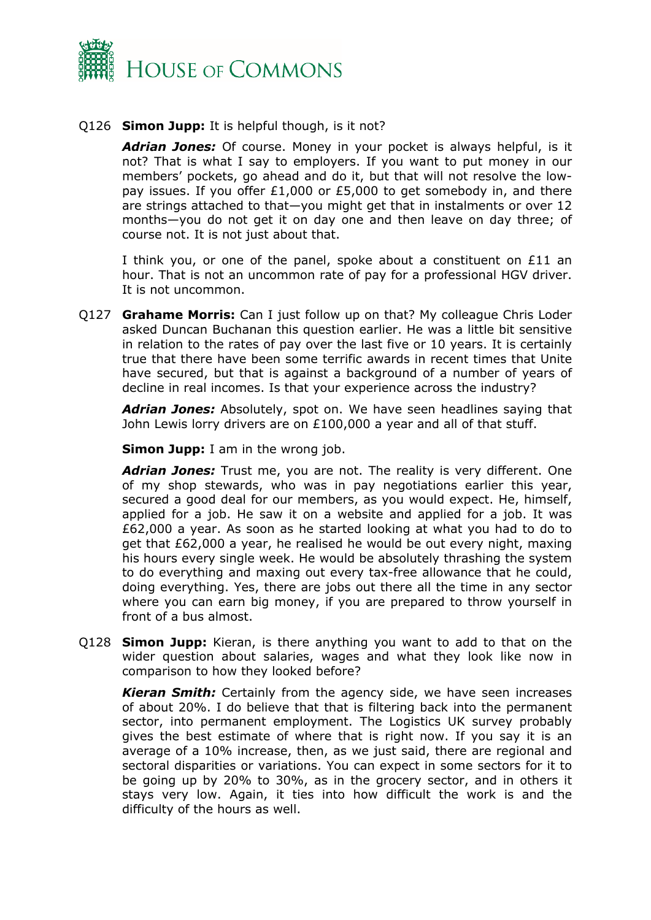

# Q126 **Simon Jupp:** It is helpful though, is it not?

*Adrian Jones:* Of course. Money in your pocket is always helpful, is it not? That is what I say to employers. If you want to put money in our members' pockets, go ahead and do it, but that will not resolve the lowpay issues. If you offer £1,000 or £5,000 to get somebody in, and there are strings attached to that—you might get that in instalments or over 12 months—you do not get it on day one and then leave on day three; of course not. It is not just about that.

I think you, or one of the panel, spoke about a constituent on £11 an hour. That is not an uncommon rate of pay for a professional HGV driver. It is not uncommon.

Q127 **Grahame Morris:** Can I just follow up on that? My colleague Chris Loder asked Duncan Buchanan this question earlier. He was a little bit sensitive in relation to the rates of pay over the last five or 10 years. It is certainly true that there have been some terrific awards in recent times that Unite have secured, but that is against a background of a number of years of decline in real incomes. Is that your experience across the industry?

*Adrian Jones:* Absolutely, spot on. We have seen headlines saying that John Lewis lorry drivers are on £100,000 a year and all of that stuff.

**Simon Jupp:** I am in the wrong job.

*Adrian Jones:* Trust me, you are not. The reality is very different. One of my shop stewards, who was in pay negotiations earlier this year, secured a good deal for our members, as you would expect. He, himself, applied for a job. He saw it on a website and applied for a job. It was £62,000 a year. As soon as he started looking at what you had to do to get that £62,000 a year, he realised he would be out every night, maxing his hours every single week. He would be absolutely thrashing the system to do everything and maxing out every tax-free allowance that he could, doing everything. Yes, there are jobs out there all the time in any sector where you can earn big money, if you are prepared to throw yourself in front of a bus almost.

Q128 **Simon Jupp:** Kieran, is there anything you want to add to that on the wider question about salaries, wages and what they look like now in comparison to how they looked before?

*Kieran Smith:* Certainly from the agency side, we have seen increases of about 20%. I do believe that that is filtering back into the permanent sector, into permanent employment. The Logistics UK survey probably gives the best estimate of where that is right now. If you say it is an average of a 10% increase, then, as we just said, there are regional and sectoral disparities or variations. You can expect in some sectors for it to be going up by 20% to 30%, as in the grocery sector, and in others it stays very low. Again, it ties into how difficult the work is and the difficulty of the hours as well.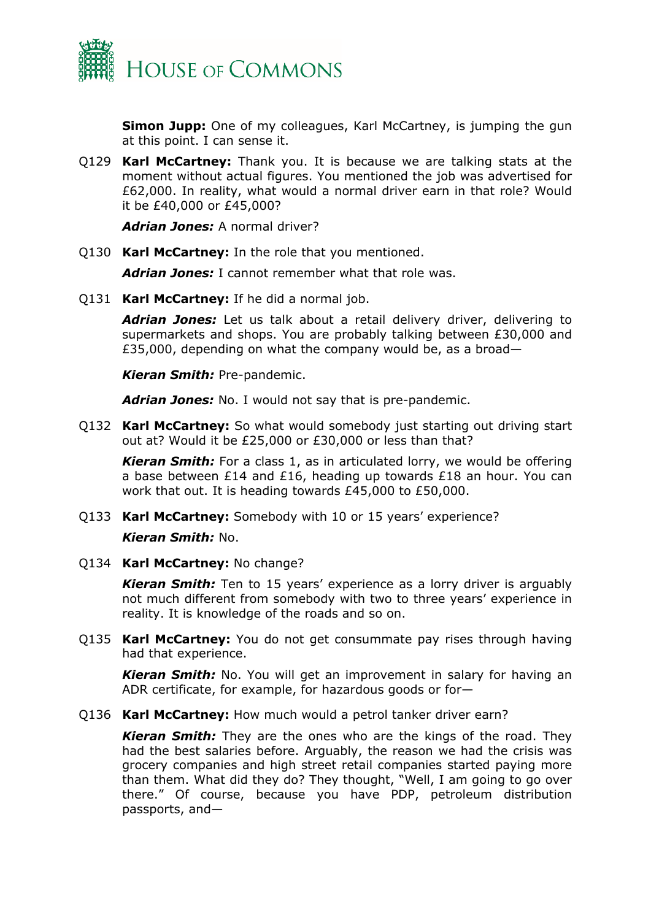

**Simon Jupp:** One of my colleagues, Karl McCartney, is jumping the gun at this point. I can sense it.

Q129 **Karl McCartney:** Thank you. It is because we are talking stats at the moment without actual figures. You mentioned the job was advertised for £62,000. In reality, what would a normal driver earn in that role? Would it be £40,000 or £45,000?

*Adrian Jones:* A normal driver?

Q130 **Karl McCartney:** In the role that you mentioned.

*Adrian Jones:* I cannot remember what that role was.

Q131 **Karl McCartney:** If he did a normal job.

*Adrian Jones:* Let us talk about a retail delivery driver, delivering to supermarkets and shops. You are probably talking between £30,000 and £35,000, depending on what the company would be, as a broad—

*Kieran Smith:* Pre-pandemic.

*Adrian Jones:* No. I would not say that is pre-pandemic.

Q132 **Karl McCartney:** So what would somebody just starting out driving start out at? Would it be £25,000 or £30,000 or less than that?

*Kieran Smith:* For a class 1, as in articulated lorry, we would be offering a base between £14 and £16, heading up towards £18 an hour. You can work that out. It is heading towards £45,000 to £50,000.

Q133 **Karl McCartney:** Somebody with 10 or 15 years' experience?

#### *Kieran Smith:* No.

Q134 **Karl McCartney:** No change?

*Kieran Smith:* Ten to 15 years' experience as a lorry driver is arguably not much different from somebody with two to three years' experience in reality. It is knowledge of the roads and so on.

Q135 **Karl McCartney:** You do not get consummate pay rises through having had that experience.

*Kieran Smith:* No. You will get an improvement in salary for having an ADR certificate, for example, for hazardous goods or for—

Q136 **Karl McCartney:** How much would a petrol tanker driver earn?

*Kieran Smith:* They are the ones who are the kings of the road. They had the best salaries before. Arguably, the reason we had the crisis was grocery companies and high street retail companies started paying more than them. What did they do? They thought, "Well, I am going to go over there." Of course, because you have PDP, petroleum distribution passports, and—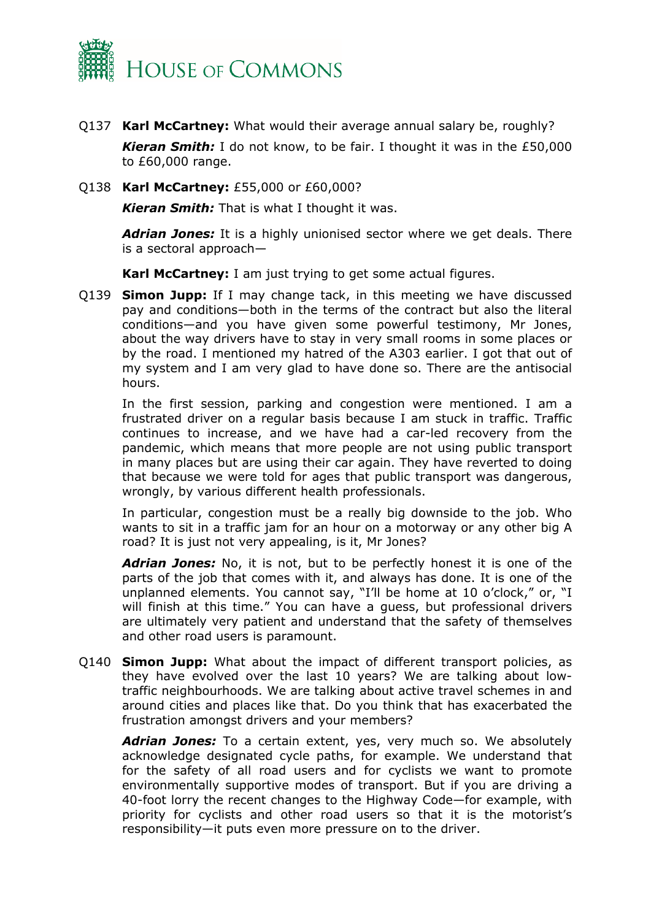

- Q137 **Karl McCartney:** What would their average annual salary be, roughly? *Kieran Smith:* I do not know, to be fair. I thought it was in the £50,000 to £60,000 range.
- Q138 **Karl McCartney:** £55,000 or £60,000?

*Kieran Smith:* That is what I thought it was.

*Adrian Jones:* It is a highly unionised sector where we get deals. There is a sectoral approach—

**Karl McCartney:** I am just trying to get some actual figures.

Q139 **Simon Jupp:** If I may change tack, in this meeting we have discussed pay and conditions—both in the terms of the contract but also the literal conditions—and you have given some powerful testimony, Mr Jones, about the way drivers have to stay in very small rooms in some places or by the road. I mentioned my hatred of the A303 earlier. I got that out of my system and I am very glad to have done so. There are the antisocial hours.

In the first session, parking and congestion were mentioned. I am a frustrated driver on a regular basis because I am stuck in traffic. Traffic continues to increase, and we have had a car-led recovery from the pandemic, which means that more people are not using public transport in many places but are using their car again. They have reverted to doing that because we were told for ages that public transport was dangerous, wrongly, by various different health professionals.

In particular, congestion must be a really big downside to the job. Who wants to sit in a traffic jam for an hour on a motorway or any other big A road? It is just not very appealing, is it, Mr Jones?

*Adrian Jones:* No, it is not, but to be perfectly honest it is one of the parts of the job that comes with it, and always has done. It is one of the unplanned elements. You cannot say, "I'll be home at 10 o'clock," or, "I will finish at this time." You can have a guess, but professional drivers are ultimately very patient and understand that the safety of themselves and other road users is paramount.

Q140 **Simon Jupp:** What about the impact of different transport policies, as they have evolved over the last 10 years? We are talking about lowtraffic neighbourhoods. We are talking about active travel schemes in and around cities and places like that. Do you think that has exacerbated the frustration amongst drivers and your members?

*Adrian Jones:* To a certain extent, yes, very much so. We absolutely acknowledge designated cycle paths, for example. We understand that for the safety of all road users and for cyclists we want to promote environmentally supportive modes of transport. But if you are driving a 40-foot lorry the recent changes to the Highway Code—for example, with priority for cyclists and other road users so that it is the motorist's responsibility—it puts even more pressure on to the driver.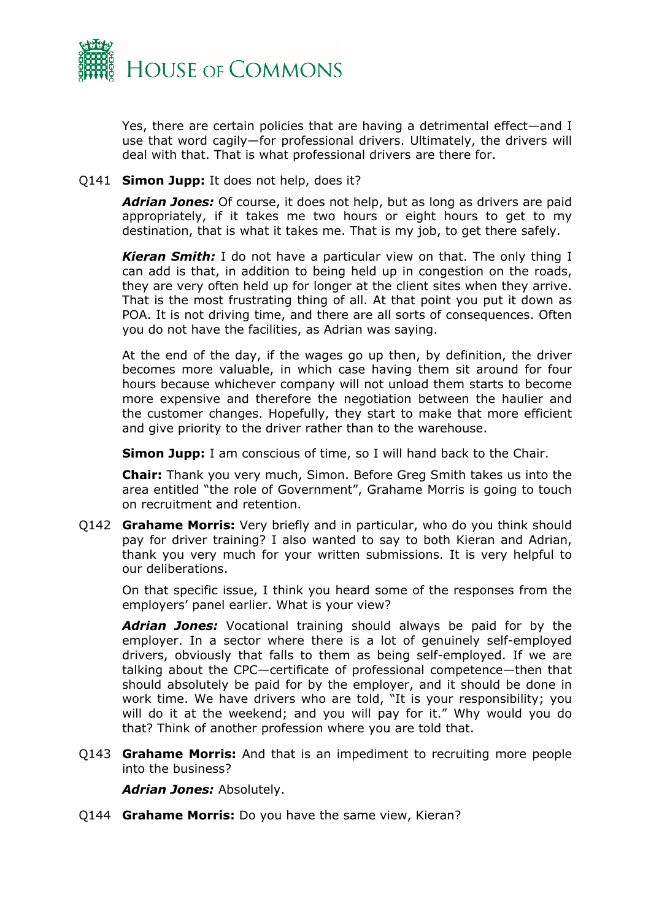

Yes, there are certain policies that are having a detrimental effect—and I use that word cagily—for professional drivers. Ultimately, the drivers will deal with that. That is what professional drivers are there for.

#### Q141 **Simon Jupp:** It does not help, does it?

*Adrian Jones:* Of course, it does not help, but as long as drivers are paid appropriately, if it takes me two hours or eight hours to get to my destination, that is what it takes me. That is my job, to get there safely.

*Kieran Smith:* I do not have a particular view on that. The only thing I can add is that, in addition to being held up in congestion on the roads, they are very often held up for longer at the client sites when they arrive. That is the most frustrating thing of all. At that point you put it down as POA. It is not driving time, and there are all sorts of consequences. Often you do not have the facilities, as Adrian was saying.

At the end of the day, if the wages go up then, by definition, the driver becomes more valuable, in which case having them sit around for four hours because whichever company will not unload them starts to become more expensive and therefore the negotiation between the haulier and the customer changes. Hopefully, they start to make that more efficient and give priority to the driver rather than to the warehouse.

**Simon Jupp:** I am conscious of time, so I will hand back to the Chair.

**Chair:** Thank you very much, Simon. Before Greg Smith takes us into the area entitled "the role of Government", Grahame Morris is going to touch on recruitment and retention.

Q142 **Grahame Morris:** Very briefly and in particular, who do you think should pay for driver training? I also wanted to say to both Kieran and Adrian, thank you very much for your written submissions. It is very helpful to our deliberations.

On that specific issue, I think you heard some of the responses from the employers' panel earlier. What is your view?

*Adrian Jones:* Vocational training should always be paid for by the employer. In a sector where there is a lot of genuinely self-employed drivers, obviously that falls to them as being self-employed. If we are talking about the CPC—certificate of professional competence—then that should absolutely be paid for by the employer, and it should be done in work time. We have drivers who are told, "It is your responsibility; you will do it at the weekend; and you will pay for it." Why would you do that? Think of another profession where you are told that.

Q143 **Grahame Morris:** And that is an impediment to recruiting more people into the business?

*Adrian Jones:* Absolutely.

Q144 **Grahame Morris:** Do you have the same view, Kieran?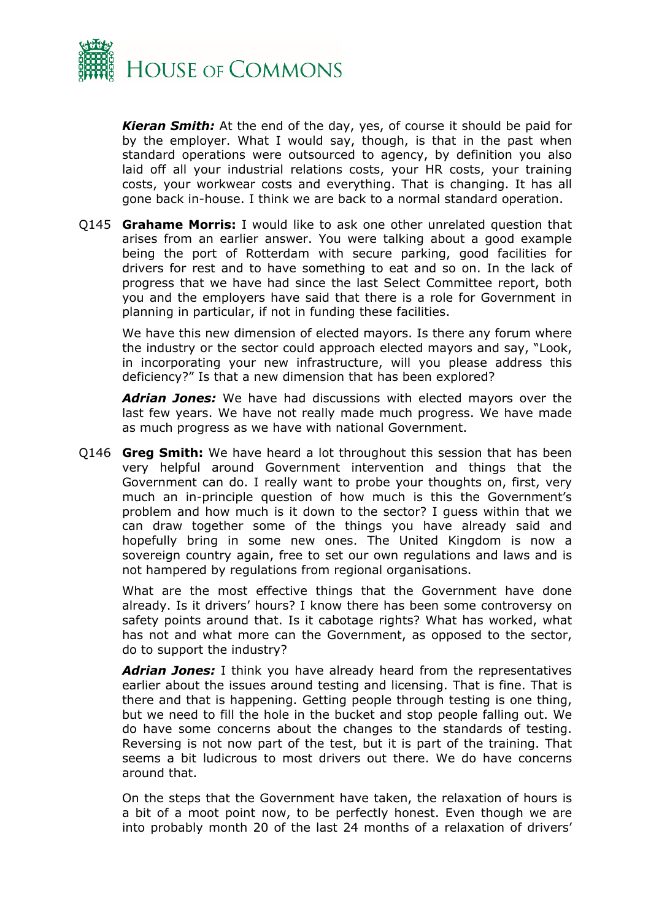

*Kieran Smith:* At the end of the day, yes, of course it should be paid for by the employer. What I would say, though, is that in the past when standard operations were outsourced to agency, by definition you also laid off all your industrial relations costs, your HR costs, your training costs, your workwear costs and everything. That is changing. It has all gone back in-house. I think we are back to a normal standard operation.

Q145 **Grahame Morris:** I would like to ask one other unrelated question that arises from an earlier answer. You were talking about a good example being the port of Rotterdam with secure parking, good facilities for drivers for rest and to have something to eat and so on. In the lack of progress that we have had since the last Select Committee report, both you and the employers have said that there is a role for Government in planning in particular, if not in funding these facilities.

We have this new dimension of elected mayors. Is there any forum where the industry or the sector could approach elected mayors and say, "Look, in incorporating your new infrastructure, will you please address this deficiency?" Is that a new dimension that has been explored?

*Adrian Jones:* We have had discussions with elected mayors over the last few years. We have not really made much progress. We have made as much progress as we have with national Government.

Q146 **Greg Smith:** We have heard a lot throughout this session that has been very helpful around Government intervention and things that the Government can do. I really want to probe your thoughts on, first, very much an in-principle question of how much is this the Government's problem and how much is it down to the sector? I guess within that we can draw together some of the things you have already said and hopefully bring in some new ones. The United Kingdom is now a sovereign country again, free to set our own regulations and laws and is not hampered by regulations from regional organisations.

What are the most effective things that the Government have done already. Is it drivers' hours? I know there has been some controversy on safety points around that. Is it cabotage rights? What has worked, what has not and what more can the Government, as opposed to the sector, do to support the industry?

*Adrian Jones:* I think you have already heard from the representatives earlier about the issues around testing and licensing. That is fine. That is there and that is happening. Getting people through testing is one thing, but we need to fill the hole in the bucket and stop people falling out. We do have some concerns about the changes to the standards of testing. Reversing is not now part of the test, but it is part of the training. That seems a bit ludicrous to most drivers out there. We do have concerns around that.

On the steps that the Government have taken, the relaxation of hours is a bit of a moot point now, to be perfectly honest. Even though we are into probably month 20 of the last 24 months of a relaxation of drivers'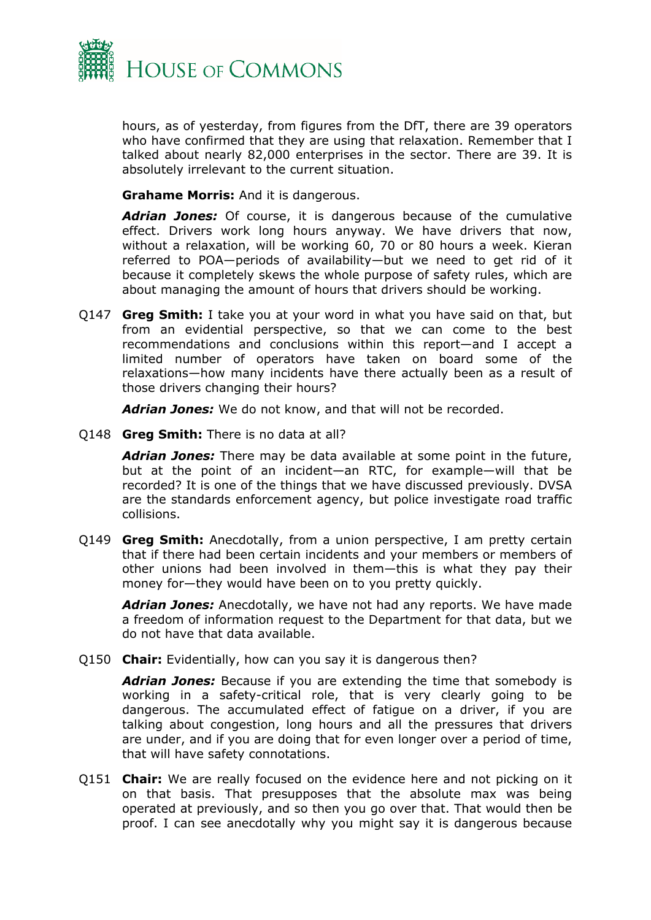

hours, as of yesterday, from figures from the DfT, there are 39 operators who have confirmed that they are using that relaxation. Remember that I talked about nearly 82,000 enterprises in the sector. There are 39. It is absolutely irrelevant to the current situation.

**Grahame Morris:** And it is dangerous.

*Adrian Jones:* Of course, it is dangerous because of the cumulative effect. Drivers work long hours anyway. We have drivers that now, without a relaxation, will be working 60, 70 or 80 hours a week. Kieran referred to POA—periods of availability—but we need to get rid of it because it completely skews the whole purpose of safety rules, which are about managing the amount of hours that drivers should be working.

Q147 **Greg Smith:** I take you at your word in what you have said on that, but from an evidential perspective, so that we can come to the best recommendations and conclusions within this report—and I accept a limited number of operators have taken on board some of the relaxations—how many incidents have there actually been as a result of those drivers changing their hours?

*Adrian Jones:* We do not know, and that will not be recorded.

Q148 **Greg Smith:** There is no data at all?

*Adrian Jones:* There may be data available at some point in the future, but at the point of an incident—an RTC, for example—will that be recorded? It is one of the things that we have discussed previously. DVSA are the standards enforcement agency, but police investigate road traffic collisions.

Q149 **Greg Smith:** Anecdotally, from a union perspective, I am pretty certain that if there had been certain incidents and your members or members of other unions had been involved in them—this is what they pay their money for—they would have been on to you pretty quickly.

*Adrian Jones:* Anecdotally, we have not had any reports. We have made a freedom of information request to the Department for that data, but we do not have that data available.

Q150 **Chair:** Evidentially, how can you say it is dangerous then?

*Adrian Jones:* Because if you are extending the time that somebody is working in a safety-critical role, that is very clearly going to be dangerous. The accumulated effect of fatigue on a driver, if you are talking about congestion, long hours and all the pressures that drivers are under, and if you are doing that for even longer over a period of time, that will have safety connotations.

Q151 **Chair:** We are really focused on the evidence here and not picking on it on that basis. That presupposes that the absolute max was being operated at previously, and so then you go over that. That would then be proof. I can see anecdotally why you might say it is dangerous because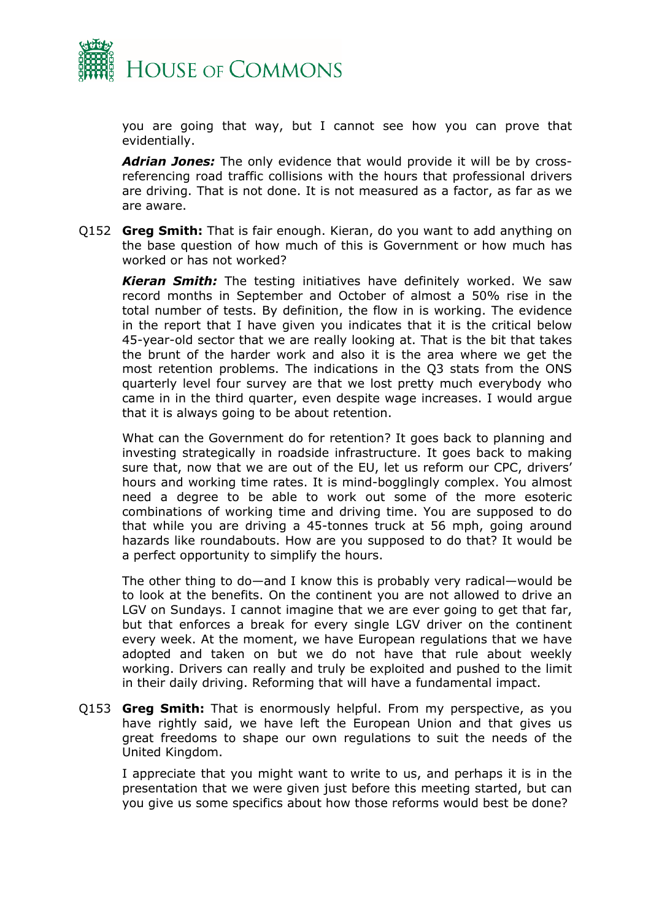

you are going that way, but I cannot see how you can prove that evidentially.

*Adrian Jones:* The only evidence that would provide it will be by crossreferencing road traffic collisions with the hours that professional drivers are driving. That is not done. It is not measured as a factor, as far as we are aware.

Q152 **Greg Smith:** That is fair enough. Kieran, do you want to add anything on the base question of how much of this is Government or how much has worked or has not worked?

*Kieran Smith:* The testing initiatives have definitely worked. We saw record months in September and October of almost a 50% rise in the total number of tests. By definition, the flow in is working. The evidence in the report that I have given you indicates that it is the critical below 45-year-old sector that we are really looking at. That is the bit that takes the brunt of the harder work and also it is the area where we get the most retention problems. The indications in the Q3 stats from the ONS quarterly level four survey are that we lost pretty much everybody who came in in the third quarter, even despite wage increases. I would argue that it is always going to be about retention.

What can the Government do for retention? It goes back to planning and investing strategically in roadside infrastructure. It goes back to making sure that, now that we are out of the EU, let us reform our CPC, drivers' hours and working time rates. It is mind-bogglingly complex. You almost need a degree to be able to work out some of the more esoteric combinations of working time and driving time. You are supposed to do that while you are driving a 45-tonnes truck at 56 mph, going around hazards like roundabouts. How are you supposed to do that? It would be a perfect opportunity to simplify the hours.

The other thing to do—and I know this is probably very radical—would be to look at the benefits. On the continent you are not allowed to drive an LGV on Sundays. I cannot imagine that we are ever going to get that far, but that enforces a break for every single LGV driver on the continent every week. At the moment, we have European regulations that we have adopted and taken on but we do not have that rule about weekly working. Drivers can really and truly be exploited and pushed to the limit in their daily driving. Reforming that will have a fundamental impact.

Q153 **Greg Smith:** That is enormously helpful. From my perspective, as you have rightly said, we have left the European Union and that gives us great freedoms to shape our own regulations to suit the needs of the United Kingdom.

I appreciate that you might want to write to us, and perhaps it is in the presentation that we were given just before this meeting started, but can you give us some specifics about how those reforms would best be done?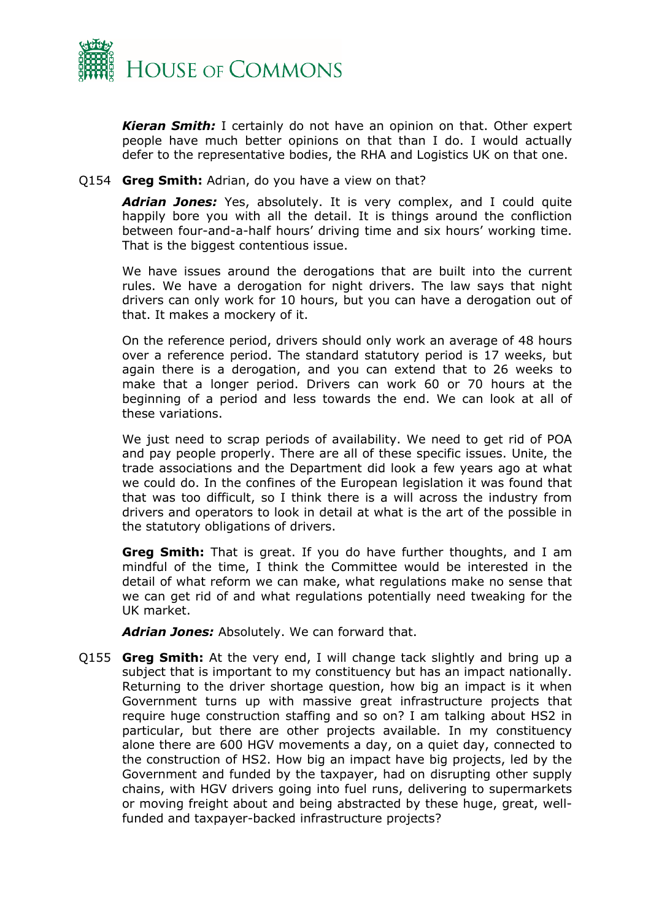

*Kieran Smith:* I certainly do not have an opinion on that. Other expert people have much better opinions on that than I do. I would actually defer to the representative bodies, the RHA and Logistics UK on that one.

#### Q154 **Greg Smith:** Adrian, do you have a view on that?

*Adrian Jones:* Yes, absolutely. It is very complex, and I could quite happily bore you with all the detail. It is things around the confliction between four-and-a-half hours' driving time and six hours' working time. That is the biggest contentious issue.

We have issues around the derogations that are built into the current rules. We have a derogation for night drivers. The law says that night drivers can only work for 10 hours, but you can have a derogation out of that. It makes a mockery of it.

On the reference period, drivers should only work an average of 48 hours over a reference period. The standard statutory period is 17 weeks, but again there is a derogation, and you can extend that to 26 weeks to make that a longer period. Drivers can work 60 or 70 hours at the beginning of a period and less towards the end. We can look at all of these variations.

We just need to scrap periods of availability. We need to get rid of POA and pay people properly. There are all of these specific issues. Unite, the trade associations and the Department did look a few years ago at what we could do. In the confines of the European legislation it was found that that was too difficult, so I think there is a will across the industry from drivers and operators to look in detail at what is the art of the possible in the statutory obligations of drivers.

**Greg Smith:** That is great. If you do have further thoughts, and I am mindful of the time, I think the Committee would be interested in the detail of what reform we can make, what regulations make no sense that we can get rid of and what regulations potentially need tweaking for the UK market.

*Adrian Jones:* Absolutely. We can forward that.

Q155 **Greg Smith:** At the very end, I will change tack slightly and bring up a subject that is important to my constituency but has an impact nationally. Returning to the driver shortage question, how big an impact is it when Government turns up with massive great infrastructure projects that require huge construction staffing and so on? I am talking about HS2 in particular, but there are other projects available. In my constituency alone there are 600 HGV movements a day, on a quiet day, connected to the construction of HS2. How big an impact have big projects, led by the Government and funded by the taxpayer, had on disrupting other supply chains, with HGV drivers going into fuel runs, delivering to supermarkets or moving freight about and being abstracted by these huge, great, wellfunded and taxpayer-backed infrastructure projects?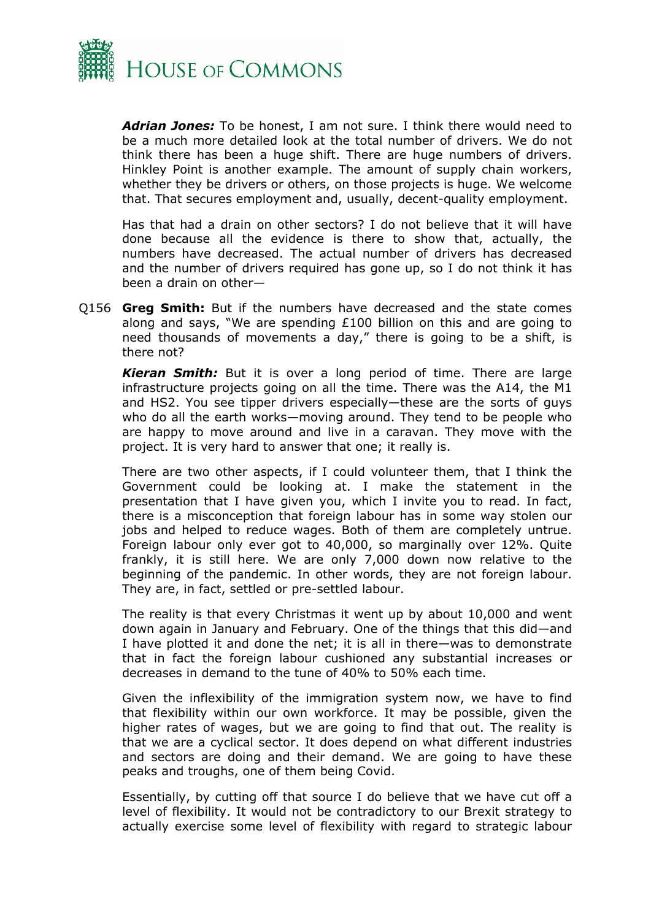

*Adrian Jones:* To be honest, I am not sure. I think there would need to be a much more detailed look at the total number of drivers. We do not think there has been a huge shift. There are huge numbers of drivers. Hinkley Point is another example. The amount of supply chain workers, whether they be drivers or others, on those projects is huge. We welcome that. That secures employment and, usually, decent-quality employment.

Has that had a drain on other sectors? I do not believe that it will have done because all the evidence is there to show that, actually, the numbers have decreased. The actual number of drivers has decreased and the number of drivers required has gone up, so I do not think it has been a drain on other—

Q156 **Greg Smith:** But if the numbers have decreased and the state comes along and says, "We are spending £100 billion on this and are going to need thousands of movements a day," there is going to be a shift, is there not?

*Kieran Smith:* But it is over a long period of time. There are large infrastructure projects going on all the time. There was the A14, the M1 and HS2. You see tipper drivers especially—these are the sorts of guys who do all the earth works—moving around. They tend to be people who are happy to move around and live in a caravan. They move with the project. It is very hard to answer that one; it really is.

There are two other aspects, if I could volunteer them, that I think the Government could be looking at. I make the statement in the presentation that I have given you, which I invite you to read. In fact, there is a misconception that foreign labour has in some way stolen our jobs and helped to reduce wages. Both of them are completely untrue. Foreign labour only ever got to 40,000, so marginally over 12%. Quite frankly, it is still here. We are only 7,000 down now relative to the beginning of the pandemic. In other words, they are not foreign labour. They are, in fact, settled or pre-settled labour.

The reality is that every Christmas it went up by about 10,000 and went down again in January and February. One of the things that this did—and I have plotted it and done the net; it is all in there—was to demonstrate that in fact the foreign labour cushioned any substantial increases or decreases in demand to the tune of 40% to 50% each time.

Given the inflexibility of the immigration system now, we have to find that flexibility within our own workforce. It may be possible, given the higher rates of wages, but we are going to find that out. The reality is that we are a cyclical sector. It does depend on what different industries and sectors are doing and their demand. We are going to have these peaks and troughs, one of them being Covid.

Essentially, by cutting off that source I do believe that we have cut off a level of flexibility. It would not be contradictory to our Brexit strategy to actually exercise some level of flexibility with regard to strategic labour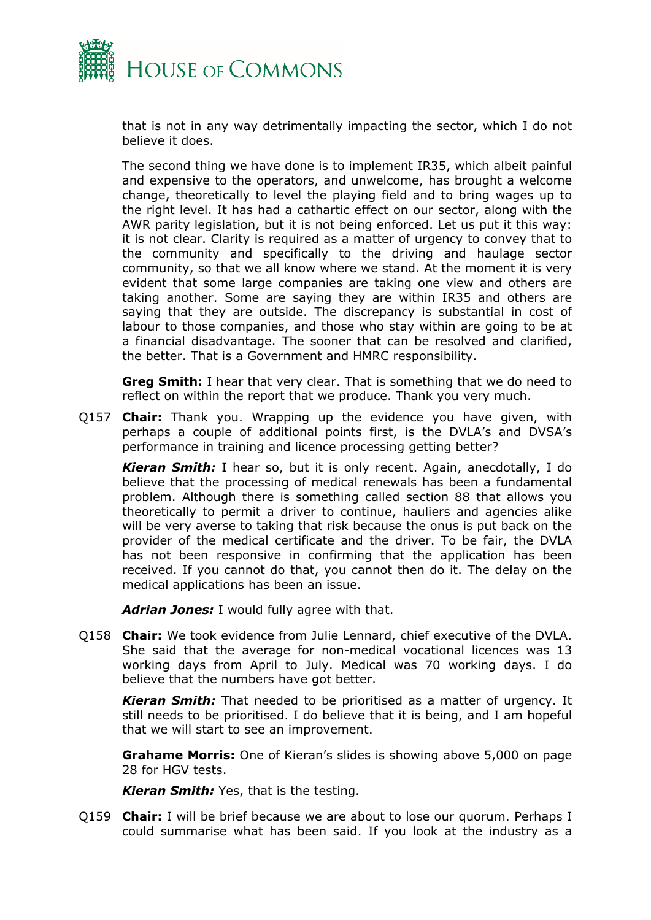

that is not in any way detrimentally impacting the sector, which I do not believe it does.

The second thing we have done is to implement IR35, which albeit painful and expensive to the operators, and unwelcome, has brought a welcome change, theoretically to level the playing field and to bring wages up to the right level. It has had a cathartic effect on our sector, along with the AWR parity legislation, but it is not being enforced. Let us put it this way: it is not clear. Clarity is required as a matter of urgency to convey that to the community and specifically to the driving and haulage sector community, so that we all know where we stand. At the moment it is very evident that some large companies are taking one view and others are taking another. Some are saying they are within IR35 and others are saying that they are outside. The discrepancy is substantial in cost of labour to those companies, and those who stay within are going to be at a financial disadvantage. The sooner that can be resolved and clarified, the better. That is a Government and HMRC responsibility.

**Greg Smith:** I hear that very clear. That is something that we do need to reflect on within the report that we produce. Thank you very much.

Q157 **Chair:** Thank you. Wrapping up the evidence you have given, with perhaps a couple of additional points first, is the DVLA's and DVSA's performance in training and licence processing getting better?

*Kieran Smith:* I hear so, but it is only recent. Again, anecdotally, I do believe that the processing of medical renewals has been a fundamental problem. Although there is something called section 88 that allows you theoretically to permit a driver to continue, hauliers and agencies alike will be very averse to taking that risk because the onus is put back on the provider of the medical certificate and the driver. To be fair, the DVLA has not been responsive in confirming that the application has been received. If you cannot do that, you cannot then do it. The delay on the medical applications has been an issue.

*Adrian Jones:* I would fully agree with that.

Q158 **Chair:** We took evidence from Julie Lennard, chief executive of the DVLA. She said that the average for non-medical vocational licences was 13 working days from April to July. Medical was 70 working days. I do believe that the numbers have got better.

*Kieran Smith:* That needed to be prioritised as a matter of urgency. It still needs to be prioritised. I do believe that it is being, and I am hopeful that we will start to see an improvement.

**Grahame Morris:** One of Kieran's slides is showing above 5,000 on page 28 for HGV tests.

*Kieran Smith:* Yes, that is the testing.

Q159 **Chair:** I will be brief because we are about to lose our quorum. Perhaps I could summarise what has been said. If you look at the industry as a